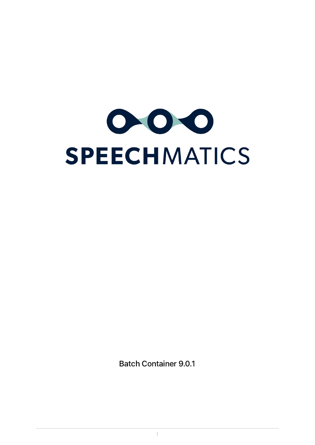

Batch Container 9.0.1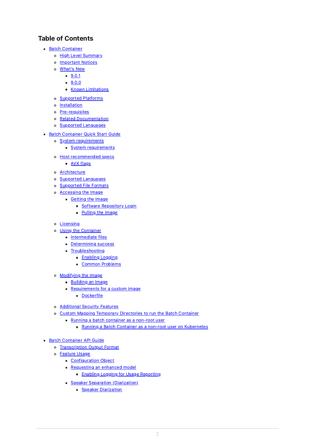# Table of Contents

- Batch [Container](#page-3-0)
	- o High Level [Summary](#page-3-1)
	- o [Important](#page-3-2) Notices
	- [What's](#page-3-3) New
		- $9.0.1$
		- $9.0.0$
		- Known [Limitations](#page-4-0)
	- [Supported](#page-4-1) Platforms
	- o [Installation](#page-4-2)
	- [Pre-requisites](#page-4-3)
	- o Related [Documentation](#page-4-4)
	- o Supported [Languages](#page-4-5)
- Batch [Container](#page-6-0) Quick Start Guide
	- o System [requirements](#page-6-1)
		- System [requirements](#page-6-2)
	- o Host [recommended](#page-6-3) specs
		- **AVX [flags](#page-7-0)**
	- [Architecture](#page-7-1)
	- o Supported [Languages](#page-7-2)
	- [Supported](#page-8-0) File Formats
	- o **[Accessing](#page-9-0) the Image** 
		- [Getting](#page-9-1) the Image
			- Goftware [Repository](#page-9-2) Login
			- **[Pulling](#page-9-3) the Image**
	- o **[Licensing](#page-10-0)**
	- Using the [Container](#page-11-0)
		- **[Intermediate](#page-13-0) files**
		- [Determining](#page-13-1) success
		- **[Troubleshooting](#page-13-2)** 
			- **[Enabling](#page-13-3) Logging** 
				- Common [Problems](#page-14-0)
	- [Modifying](#page-15-0) the Image
		- [Building](#page-15-1) an Image
		- [Requirements](#page-15-2) for a custom image
			- **[Dockerfile](#page-15-3)**
	- [Additional](#page-16-0) Security Features
	- Custom Mapping Temporary [Directories](#page-16-1) to run the Batch Container
		- Running a batch [container](#page-17-0) as a non-root user
			- Running a Batch Container as a non-root user on [Kubernetes](#page-17-1)
- **Batch [Container](#page-18-0) API Guide** 
	- [Transcription](#page-19-0) Output Format
	- o **[Feature](#page-19-1) Usage** 
		- **[Configuration](#page-19-2) Object**
		- [Requesting](#page-20-0) an enhanced model
			- **Enabling Logging for Usage [Reporting](#page-20-1)**
		- **Speaker Separation [\(Diarization\)](#page-21-0)** 
			- Speaker [Diarization](#page-21-1)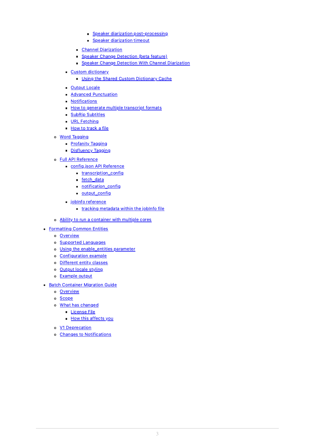- Speaker diarization [post-processing](#page-23-0)
- **Speaker [diarization](#page-23-1) timeout**
- **Channel [Diarization](#page-23-2)**
- Speaker Change [Detection](#page-25-0) (beta feature)
- Speaker Change Detection With Channel [Diarization](#page-27-0)
- Custom [dictionary](#page-29-0)
	- **Using the Shared Custom [Dictionary](#page-30-0) Cache**
- **[Output](#page-31-0) Locale**
- **Advanced [Punctuation](#page-32-0)**
- **[Notifications](#page-33-0)**
- How to generate multiple [transcript](#page-33-1) formats
- **SubRip [Subtitles](#page-34-0)**
- **URL [Fetching](#page-34-1)**
- How to [track](#page-35-0) a file
- Word [Tagging](#page-37-0)
	- **[Profanity](#page-37-1) Tagging**
	- [Disfluency](#page-38-0) Tagging
- Full API [Reference](#page-38-1)
	- [config.json](#page-39-0) API Reference
		- **[transcription\\_config](#page-39-1)**
		- [fetch\\_data](#page-39-2)
		- [notification\\_config](#page-40-0)
		- [output\\_config](#page-40-1)
	- jobInfo [reference](#page-40-2)
		- **tracking [metadata](#page-40-3) within the jobInfo file**
- Ability to run a [container](#page-41-0) with multiple cores
- [Formatting](#page-41-1) Common Entities
	- o [Overview](#page-41-2)
	- o Supported [Languages](#page-42-0)
	- Using the [enable\\_entities](#page-42-1) parameter
	- [Configuration](#page-42-2) example
	- o [Different](#page-43-0) entity classes
	- [Output](#page-43-1) locale styling
	- [Example](#page-44-0) output
- **Batch [Container](#page-48-0) Migration Guide** 
	- o [Overview](#page-48-1)
	- o [Scope](#page-48-2)
	- What has [changed](#page-49-0)
		- [License](#page-49-1) File
			- **How this [affects](#page-50-0) you**
	- V1 [Deprecation](#page-50-1)
	- o Changes to [Notifications](#page-51-0)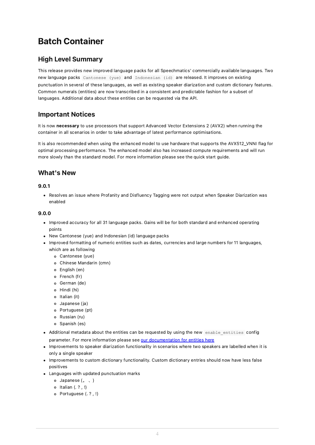# <span id="page-3-0"></span>Batch Container

# <span id="page-3-1"></span>High Level Summary

This release provides new improved language packs for all Speechmatics' commercially available languages. Two new language packs Cantonese (yue) and Indonesian (id) are released. It improves on existing punctuation in several of these languages, as well as existing speaker diarization and custom dictionary features. Common numerals (entities) are now transcribed in a consistent and predictable fashion for a subset of languages. Additional data about these entities can be requested via the API.

# <span id="page-3-2"></span>Important Notices

It is now necessary to use processors that support Advanced Vector Extensions 2 (AVX2) when running the container in all scenarios in order to take advantage of latest performance optimisations.

It is also recommended when using the enhanced model to use hardware that supports the AVX512\_VNNI flag for optimal processing performance. The enhanced model also has increased compute requirements and will run more slowly than the standard model. For more information please see the quick start guide.

# <span id="page-3-3"></span>What's New

### <span id="page-3-4"></span>9.0.1

Resolves an issue where Profanity and Disfluency Tagging were not output when Speaker Diarization was enabled

### <span id="page-3-5"></span>9.0.0

- Improved accuracy for all 31 language packs. Gains will be for both standard and enhanced operating points
- New Cantonese (yue) and Indonesian (id) language packs
- Improved formatting of numeric entities such as dates, currencies and large numbers for 11 languages, which are as following
	- Cantonese (yue)
	- Chinese Mandarin (cmn)
	- English (en)
	- o French (fr)
	- o German (de)
	- Hindi (hi)
	- o Italian (it)
	- Japanese (ja)
	- Portuguese (pt)
	- Russian (ru)
	- o Spanish (es)
- Additional metadata about the entities can be requested by using the new enable entities config parameter. For more information please see our [documentation](http://localhost:55003/entities/) for entities here
- Improvements to speaker diarization functionality in scenarios where two speakers are labelled when it is only a single speaker
- Improvements to custom dictionary functionality. Custom dictionary entries should now have less false positives
- Languages with updated punctuation marks
	- Japanese (。 、)
	- $\circ$  Italian  $(. ? . !)$
	- Portuguese (. ? , !)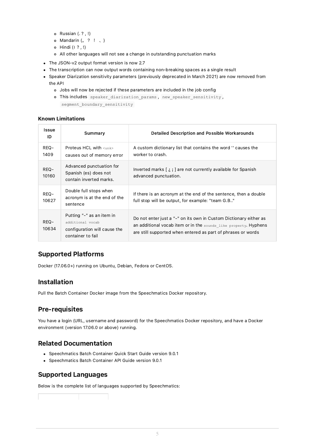- Russian (. ? , !)
- o Mandarin  $(s, ? | \cdot)$
- Hindi (। ? , !)
- All other languages will not see a change in outstanding punctuation marks
- The JSON-v2 output format version is now 2.7
- The transcription can now output words containing non-breaking spaces as a single result
- Speaker Diarization sensitivity parameters (previously deprecated in March 2021) are now removed from the API
	- Jobs will now be rejected if these parameters are included in the job config
	- o This includes speaker diarization params , new speaker sensitivity , segment boundary sensitivity

### <span id="page-4-0"></span>Known Limitations

| <b>Issue</b><br>ID | Summary                                                                                            | <b>Detailed Description and Possible Workarounds</b>                                                                                                                                                  |
|--------------------|----------------------------------------------------------------------------------------------------|-------------------------------------------------------------------------------------------------------------------------------------------------------------------------------------------------------|
| REQ-<br>1409       | Proteus HCL with $\langle$ unk><br>causes out of memory error                                      | A custom dictionary list that contains the word " causes the<br>worker to crash.                                                                                                                      |
| REQ-<br>10160      | Advanced punctuation for<br>Spanish (es) does not<br>contain inverted marks.                       | Inverted marks $\lceil \xi \rceil$ are not currently available for Spanish<br>advanced punctuation.                                                                                                   |
| REQ-<br>10627      | Double full stops when<br>acronym is at the end of the<br>sentence                                 | If there is an acronym at the end of the sentence, then a double<br>full stop will be output, for example: "team G.B"                                                                                 |
| REQ-<br>10634      | Putting "-" as an item in<br>additional vocab<br>configuration will cause the<br>container to fail | Do not enter just a "-" on its own in Custom Dictionary either as<br>an additional vocab item or in the sounds like property. Hyphens<br>are still supported when entered as part of phrases or words |

# <span id="page-4-1"></span>Supported Platforms

Docker (17.06.0+) running on Ubuntu, Debian, Fedora or CentOS.

# <span id="page-4-2"></span>Installation

Pull the Batch Container Docker image from the Speechmatics Docker repository.

# <span id="page-4-3"></span>Pre-requisites

You have a login (URL, username and password) for the Speechmatics Docker repository, and have a Docker environment (version 17.06.0 or above) running.

### <span id="page-4-4"></span>Related Documentation

- Speechmatics Batch Container Quick Start Guide version 9.0.1
- Speechmatics Batch Container API Guide version 9.0.1

### <span id="page-4-5"></span>Supported Languages

Below is the complete list of languages supported by Speechmatics: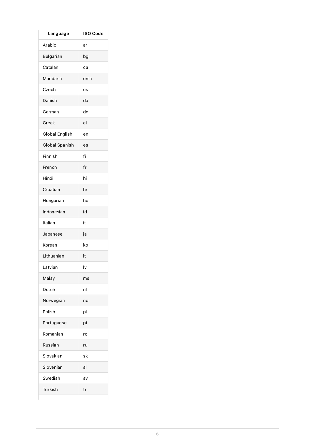| Language         | <b>ISO Code</b> |
|------------------|-----------------|
| Arabic           | ar              |
| <b>Bulgarian</b> | bg              |
| Catalan          | ca              |
| Mandarin         | cmn             |
| Czech            | cs              |
| Danish           | da              |
| German           | de              |
| Greek            | el              |
| Global English   | en              |
| Global Spanish   | es              |
| Finnish          | fi              |
| French           | fr              |
| Hindi            | hi              |
| Croatian         | hr              |
| Hungarian        | hu              |
| Indonesian       | id              |
| Italian          | it              |
| Japanese         | ја              |
| Korean           | ko              |
| Lithuanian       | It              |
| Latvian          | l٧              |
| Malay            | ms              |
| Dutch            | nl              |
| Norwegian        | no              |
| Polish           | pl              |
| Portuguese       | pt              |
| Romanian         | ro              |
| Russian          | ru              |
| Slovakian        | sk              |
| Slovenian        | sl              |
| Swedish          | sv              |
| Turkish          | tr              |
|                  |                 |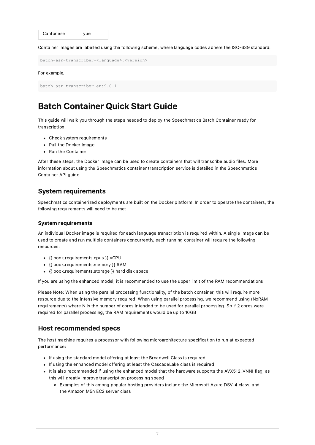```
Cantonese vue
```
Container images are labelled using the following scheme, where language codes adhere the ISO-639 standard:

batch-asr-transcriber-<language>:<version>

#### For example,

```
batch-asr-transcriber-en:9.0.1
```
# <span id="page-6-0"></span>Batch Container Quick Start Guide

This guide will walk you through the steps needed to deploy the Speechmatics Batch Container ready for transcription.

- Check system requirements
- Pull the Docker Image
- Run the Container

After these steps, the Docker Image can be used to create containers that will transcribe audio files. More information about using the Speechmatics container transcription service is detailed in the Speechmatics Container API guide.

### <span id="page-6-1"></span>System requirements

Speechmatics containerized deployments are built on the Docker platform. In order to operate the containers, the following requirements will need to be met.

### <span id="page-6-2"></span>System requirements

An individual Docker image is required for each language transcription is required within. A single image can be used to create and run multiple containers concurrently, each running container will require the following resources:

- {{ book.requirements.cpus }} vCPU
- {{ book.requirements.memory }} RAM
- {{ book.requirements.storage }} hard disk space

If you are using the enhanced model, it is recommended to use the upper limit of the RAM recommendations

Please Note: When using the parallel processing functionality, of the batch container, this will require more resource due to the intensive memory required. When using parallel processing, we recommend using (NxRAM requirements) where N is the number of cores intended to be used for parallel processing. So if 2 cores were required for parallel processing, the RAM requirements would be up to 10GB

### <span id="page-6-3"></span>Host recommended specs

The host machine requires a processor with following microarchitecture specification to run at expected performance:

- If using the standard model offering at least the Broadwell Class is required
- If using the enhanced model offering at least the CascadeLake class is required
- It is also recommended if using the enhanced model that the hardware supports the AVX512\_VNNI flag, as this will greatly improve transcription processing speed
	- Examples of this among popular hosting providers include the Microsoft Azure DSV-4 class, and the Amazon M5n EC2 server class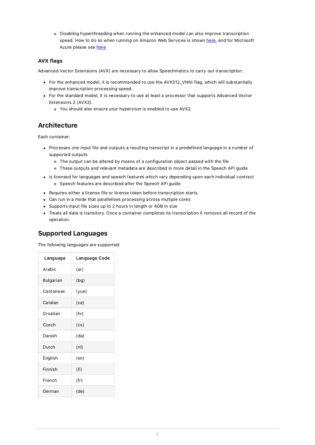Disabling hyperthreading when running the enhanced model can also improve transcription speed. How to do so when running on Amazon Web Services is shown [here](https://aws.amazon.com/blogs/compute/disabling-intel-hyper-threading-technology-on-amazon-linux/), and for Microsoft Azure please see [here](https://docs.microsoft.com/en-us/azure/virtual-machines/mitigate-se#linux)

### <span id="page-7-0"></span>AVX flags

Advanced Vector Extensions (AVX) are necessary to allow Speechmatics to carry out transcription.

- For the enhanced model, it is recommended to use the AVX512\_VNNI flag, which will substantially improve transcription processing speed.
- For the standard model, it is necessary to use at least a processor that supports Advanced Vector Extensions 2 (AVX2).
	- You should also ensure your hypervisor is enabled to use AVX2.

# <span id="page-7-1"></span>Architecture

Each container:

- Processes one input file and outputs a resulting transcript in a predefined language in a number of supported outputs
	- The output can be altered by means of a configuration object passed with the file
	- These outputs and relevant metadata are described in more detail in the Speech API guide
- Is licensed for languages and speech features which vary depending upon each individual contract Speech features are described after the Speech API guide
- Requires either a license file or license token before transcription starts.
- Can run in a mode that parallelises processing across multiple cores
- Supports input file sizes up to 2 hours in length or 4GB in size
- Treats all data is transitory. Once a container completes its transcription it removes all record of the operation.

# <span id="page-7-2"></span>Supported Languages

The following languages are supported:

| Language  | Language Code |
|-----------|---------------|
| Arabic    | (ar)          |
| Bulgarian | (bg)          |
| Cantonese | (yue)         |
| Catalan   | (ca)          |
| Croatian  | (hr)          |
| Czech     | (cs)          |
| Danish    | (da)          |
| Dutch     | (nl)          |
| English   | (en)          |
| Finnish   | (fi)          |
| French    | (fr)          |
| German    | (de)          |
|           |               |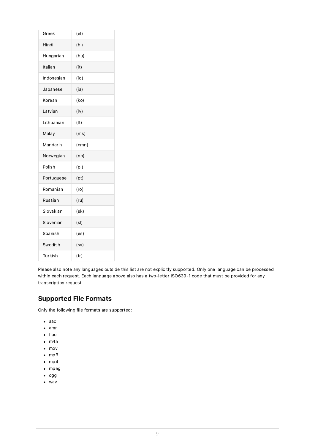| Greek      | (e <sup>l</sup> ) |
|------------|-------------------|
| Hindi      | (hi)              |
| Hungarian  | (hu)              |
| Italian    | (it)              |
| Indonesian | (id)              |
| Japanese   | (ja)              |
| Korean     | (ko)              |
| Latvian    | $($ lv $)$        |
| Lithuanian | $($ lt $)$        |
| Malay      | (ms)              |
| Mandarin   | (cmn)             |
| Norwegian  | (no)              |
| Polish     | (p )              |
| Portuguese | (pt)              |
| Romanian   | (ro)              |
| Russian    | (ru)              |
| Slovakian  | (sk)              |
| Slovenian  | (s)               |
| Spanish    | (es)              |
| Swedish    | (sv)              |
| Turkish    | (tr)              |

Please also note any languages outside this list are not explicitly supported. Only one language can be processed within each request. Each language above also has a two-letter ISO639-1 code that must be provided for any transcription request.

# <span id="page-8-0"></span>Supported File Formats

Only the following file formats are supported:

- $\bullet$  aac
- amr
- $\bullet$  flac
- m4a
- mov
- $emp3$
- $\bullet$  mp4
- mpeg
- $\bullet$  ogg
- wav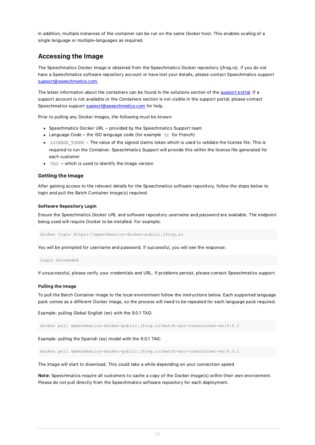In addition, multiple instances of the container can be run on the same Docker host. This enables scaling of a single language or multiple-languages as required.

### <span id="page-9-0"></span>Accessing the Image

The Speechmatics Docker image is obtained from the Speechmatics Docker repository (jfrog.io). If you do not have a Speechmatics software repository account or have lost your details, please contact Speechmatics support [support@speechmatics.com](mailto:support@speechmatics.com).

The latest information about the containers can be found in the solutions section of the [support](https://support.speechmatics.com/) portal. If a support account is not available or the Containers section is not visible in the support portal, please contact Speechmatics support [support@speechmatics.com](mailto:support@speechmatics.com) for help.

Prior to pulling any Docker images, the following must be known:

- Speechmatics Docker URL provided by the Speechmatics Support team
- Language Code the ISO language code (for example  $fr$  for French)
- LICENSE TOKEN The value of the signed claims token which is used to validate the license file. This is required to run the Container. Speechmatics Support will provide this within the license file generated for each customer
- $\bullet$  TAG which is used to identify the image version

### <span id="page-9-1"></span>Getting the Image

After gaining access to the relevant details for the Speechmatics software repository, follow the steps below to login and pull the Batch Container image(s) required.

#### <span id="page-9-2"></span>Software Repository Login

Ensure the Speechmatics Docker URL and software repository username and password are available. The endpoint being used will require Docker to be installed. For example:

docker login https://speechmatics-docker-public.jfrog.io

You will be prompted for username and password. If successful, you will see the response:

Login Succeeded

If unsuccessful, please verify your credentials and URL. If problems persist, please contact Speechmatics support.

#### <span id="page-9-3"></span>Pulling the Image

To pull the Batch Container image to the local environment follow the instructions below. Each supported language pack comes as a different Docker image, so the process will need to be repeated for each language pack required.

Example: pulling Global English (en) with the 9.0.1 TAG:

docker pull speechmatics-docker-public.jfrog.io/batch-asr-transcriber-en:9.0.1

Example: pulling the Spanish (es) model with the 9.0.1 TAG:

docker pull speechmatics-docker-public.jfrog.io/batch-asr-transcriber-es:9.0.1

The image will start to download. This could take a while depending on your connection speed.

Note: Speechmatics require all customers to cache a copy of the Docker image(s) within their own environment. Please do not pull directly from the Speechmatics software repository for each deployment.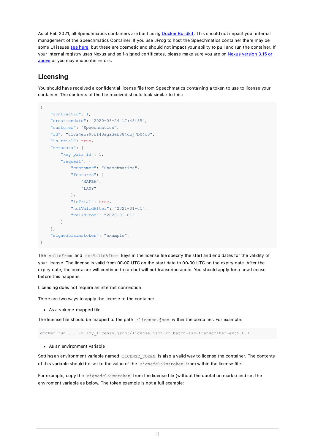As of Feb 2021, all Speechmatics containers are built using Docker [Buildkit.](https://docs.docker.com/develop/develop-images/build_enhancements/) This should not impact your internal management of the Speechmatics Container. If you use JFrog to host the Speechmatics container there may be some UI issues see [here](https://www.jfrog.com/jira/browse/RTFACT-20649), but these are cosmetic and should not impact your ability to pull and run the container. If your internal registry uses Nexus and self-signed [certificates,](https://docs.docker.com/develop/develop-images/build_enhancements/) please make sure you are on Nexus version 3.15 or above or you may encounter errors.

# <span id="page-10-0"></span>Licensing

You should have received a confidential license file from Speechmatics containing a token to use to license your container. The contents of the file received should look similar to this:

```
{
    "contractid": 1,
    "creationdate": "2020-03-24 17:43:35",
    "customer": "Speechmatics",
    "id": "c18a4eb990b143agadeb384cbj7b04c3",
    "is trial": true,
    "metadata": {
        "key pair id": 1,
        "request": {
            "customer": "Speechmatics",
            "features": [
                "MAPBA",
                "LANY"
            \frac{1}{2}"isTrial": true,
            "notValidAfter": "2021-01-01",
            "validFrom": "2020-01-01"
        }
    },
    "signedclaimstoken": "example",
}
```
The validFrom and notValidAfter keys in the license file specify the start and end dates for the validity of your license. The license is valid from 00:00 UTC on the start date to 00:00 UTC on the expiry date. After the expiry date, the container will continue to run but will not transcribe audio. You should apply for a new license before this happens.

Licensing does not require an internet connection.

There are two ways to apply the license to the container.

As a volume-mapped file

The license file should be mapped to the path /license.json within the container. For example:

```
docker run ... -v /my license.json:/license.json:ro batch-asr-transcriber-en:9.0.1
```
As an environment variable

Setting an environment variable named LICENSE TOKEN is also a valid way to license the container. The contents of this variable should be set to the value of the signedclaimstoken from within the license file.

For example, copy the signedclaimstoken from the license file (without the quotation marks) and set the enviroment variable as below. The token example is not a full example: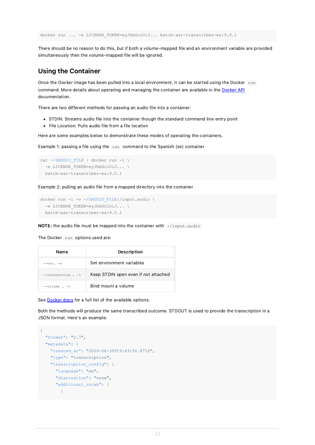docker run ... -e LICENSE TOKEN=eyJhbGciOiJ... batch-asr-transcriber-en:9.0.1

There should be no reason to do this, but if both a volume-mapped file and an environment variable are provided simultaneously then the volume-mapped file will be ignored.

### <span id="page-11-0"></span>Using the Container

Once the Docker image has been pulled into a local environment, it can be started using the Docker run command. More details about operating and managing the container are available in the [Docker](https://docs.docker.com/engine/api/latest) API documentation.

There are two different methods for passing an audio file into a container:

- STDIN: Streams audio file into the container though the standard command line entry point
- File Location: Pulls audio file from a file location

Here are some examples below to demonstrate these modes of operating the containers.

Example 1: passing a file using the cat command to the Spanish (es) container

```
cat ~/$AUDIO FILE | docker run -i \
 -e LICENSE TOKEN=eyJhbGciOiJ... \
 batch-asr-transcriber-es:9.0.1
```
Example 2: pulling an audio file from a mapped directory into the container

```
docker run -i -v ~/$AUDIO_FILE:/input.audio \
 -e LICENSE TOKEN=eyJhbGciOiJ... \
 batch-asr-transcriber-es:9.0.1
```
NOTE: the audio file must be mapped into the container with :/input.audio

The Docker run options used are:

| <b>Name</b>         | Description                          |
|---------------------|--------------------------------------|
| $--env, -e$         | Set environment variables            |
| $--interactive, -i$ | Keep STDIN open even if not attached |
| $--volume$ . $-v$   | Bind mount a volume                  |

See [Docker](https://docs.docker.com/engine/reference/commandline/run/) docs for a full list of the available options.

Both the methods will produce the same transcribed outcome. STDOUT is used to provide the transcription in a JSON format. Here's an example:

```
{
  "format": "2.7",
  "metadata": {
   "created_at": "2020-06-30T15:43:50.871Z",
   "type": "transcription",
    "transcription_config": {
      "language": "en",
     "diarization": "none",
      "additional vocab": [
        {
```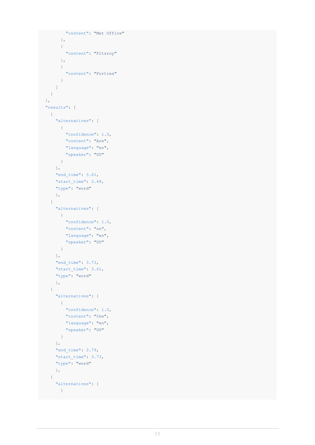```
"content": "Met Office"
      },
      \{"content": "Fitzroy"
      },
       {
       "content": "Forties"
       }
    ]
  }
},
"results": [
 \{"alternatives": [
     \left\{\begin{array}{c}1\end{array}\right."confidence": 1.0,
       "content": "Are",
       "language": "en",
       "speaker": "UU"
     \}],
    "end_time": 3.61,
    "start_time": 3.49,
    "type": "word"
    },
  {
    "alternatives": [
     \left\{\begin{array}{c}1\end{array}\right."confidence": 1.0,
       "content": "on",
       "language": "en",
       "speaker": "UU"
     }
    ],
    "end_time": 3.73,
    "start_time": 3.61,
    "type": "word"
    },
  {
    "alternatives": [
     \left\{\begin{array}{c} \end{array}\right."confidence": 1.0,
       "content": "the",
       "language": "en",
         "speaker": "UU"
     }
    ],
    "end time": 3.79,
    "start_time": 3.73,
    "type": "word"
    },
  {
    "alternatives": [
     \left\{\begin{array}{c}1\end{array}\right\}
```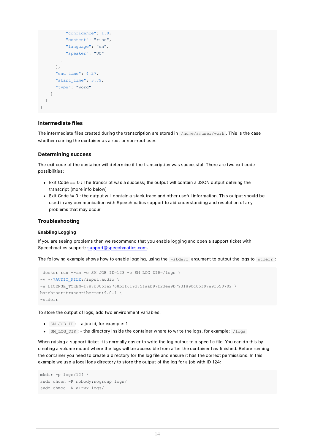```
"confidence": 1.0,
          "content": "rise",
          "language": "en",
          "speaker": "UU"
        }
      ],
      "end time": 4.27,
      "start_time": 3.79,
      "type": "word"
    }
  ]
}
```
### <span id="page-13-0"></span>Intermediate files

The intermediate files created during the transcription are stored in /home/smuser/work . This is the case whether running the container as a root or non-root user.

### <span id="page-13-1"></span>Determining success

The exit code of the container will determine if the transcription was successful. There are two exit code possibilities:

- $\bullet$  Exit Code  $== 0$ : The transcript was a success; the output will contain a JSON output defining the transcript (more info below)
- Exit Code != 0 : the output will contain a stack trace and other useful information. This output should be used in any communication with Speechmatics support to aid understanding and resolution of any problems that may occur

#### <span id="page-13-2"></span>Troubleshooting

#### <span id="page-13-3"></span>Enabling Logging

If you are seeing problems then we recommend that you enable logging and open a support ticket with Speechmatics support: [support@speechmatics.com.](mailto:support@speechmatics.com)

The following example shows how to enable logging, using the -stderr argument to output the logs to stderr:

```
docker run --rm -e SM_JOB_ID=123 -e SM_LOG_DIR=/logs \
-v ~/$AUDIO_FILE:/input.audio \
-e LICENSE_TOKEN=f787b0051e2768b1f619d75faab97f23ee9b7931890c05f97e9f550702 \
batch-asr-transcriber-en:9.0.1 \
-stderr
```
To store the output of logs, add two environment variables:

- $\bullet$  SM JOB ID : a job id, for example: 1
- SM LOG DIR : the directory inside the container where to write the logs, for example: /logs

When raising a support ticket it is normally easier to write the log output to a specific file. You can do this by creating a volume mount where the logs will be accessible from after the container has finished. Before running the container you need to create a directory for the log file and ensure it has the correct permissions. In this example we use a local logs directory to store the output of the log for a job with ID 124:

```
mkdir -p logs/124 /
sudo chown -R nobody:nogroup logs/
sudo chmod -R a+rwx logs/
```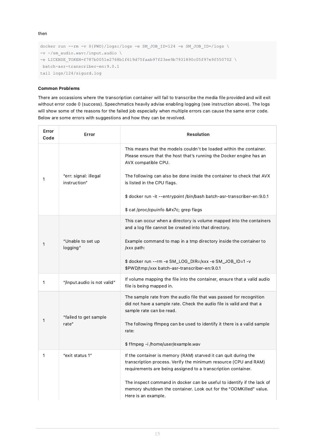then

```
docker run --rm -v ${PWD}/logs:/logs -e SM JOB ID=124 -e SM JOB ID=/logs \
-v ~/sm_audio.wav:/input.audio \
-e LICENSE_TOKEN=f787b0051e2768b1f619d75faab97f23ee9b7931890c05f97e9f550702 \
batch-asr-transcriber-en:9.0.1
tail logs/124/sigurd.log
```
### <span id="page-14-0"></span>Common Problems

There are occassions where the transcription container will fail to transcribe the media file provided and will exit without error code 0 (success). Speechmatics heavily advise enabling logging (see instruction above). The logs will show some of the reasons for the failed job especially when multiple errors can cause the same error code. Below are some errors with suggestions and how they can be revolved.

| Error<br>Code | Error                                 | <b>Resolution</b>                                                                                                                                                                                                                                                                                                                                                                         |
|---------------|---------------------------------------|-------------------------------------------------------------------------------------------------------------------------------------------------------------------------------------------------------------------------------------------------------------------------------------------------------------------------------------------------------------------------------------------|
| 1             | "err: signal: illegal<br>instruction" | This means that the models couldn't be loaded within the container.<br>Please ensure that the host that's running the Docker engine has an<br>AVX compatible CPU.<br>The following can also be done inside the container to check that AVX<br>is listed in the CPU flags.<br>\$ docker run -it --entrypoint /bin/bash batch-asr-transcriber-en:9.0.1<br>\$ cat /proc/cpuinfo   grep flags |
| 1             | "Unable to set up<br>logging"         | This can occur when a directory is volume mapped into the containers<br>and a log file cannot be created into that directory.<br>Example command to map in a tmp directory inside the container to<br>/xxx path:<br>\$ docker run --rm -e SM_LOG_DIR=/xxx -e SM_JOB_ID=1 -v<br>\$PWD/tmp:/xxx batch-asr-transcriber-en:9.0.1                                                              |
| 1             | "/input.audio is not valid"           | If volume mapping the file into the container, ensure that a valid audio<br>file is being mapped in.                                                                                                                                                                                                                                                                                      |
| 1             | "failed to get sample<br>rate"        | The sample rate from the audio file that was passed for recognition<br>did not have a sample rate. Check the audio file is valid and that a<br>sample rate can be read.<br>The following ffmpeg can be used to identify it there is a valid sample<br>rate:<br>\$ffmpeg-i/home/user/example.wav                                                                                           |
| 1             | "exit status 1"                       | If the container is memory (RAM) starved it can quit during the<br>transcription process. Verify the minimum resource (CPU and RAM)<br>requirements are being assigned to a transcription container.<br>The inspect command in docker can be useful to identify if the lack of<br>memory shutdown the container. Look out for the "OOMKilled" value.<br>Here is an example.               |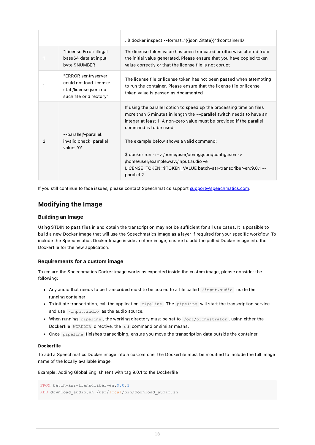|   |                                                                                                     | . \$ docker inspect --format='{{json .State}}' \$containerID                                                                                                                                                                                                                                                                                                                                                                                                                        |
|---|-----------------------------------------------------------------------------------------------------|-------------------------------------------------------------------------------------------------------------------------------------------------------------------------------------------------------------------------------------------------------------------------------------------------------------------------------------------------------------------------------------------------------------------------------------------------------------------------------------|
|   | "License Error: illegal<br>base64 data at input<br>byte \$NUMBER                                    | The license token value has been truncated or otherwise altered from<br>the initial value generated. Please ensure that you have copied token<br>value correctly or that the license file is not corupt                                                                                                                                                                                                                                                                             |
|   | "ERROR sentryserver<br>could not load license:<br>stat /license.json: no<br>such file or directory" | The license file or license token has not been passed when attempting<br>to run the container. Please ensure that the license file or license<br>token value is passed as documented                                                                                                                                                                                                                                                                                                |
| 2 | --parallel/-parallel:<br>invalid check_parallel<br>value: '0'                                       | If using the parallel option to speed up the processing time on files<br>more than 5 minutes in length the --parallel switch needs to have an<br>integer at least 1. A non-zero value must be provided if the parallel<br>command is to be used.<br>The example below shows a valid command:<br>\$ docker run -i -v /home/user/config.json:/config.json -v<br>/home/user/example.wav:/input.audio -e<br>LICENSE_TOKEN=\$TOKEN_VALUE batch-asr-transcriber-en:9.0.1 --<br>parallel 2 |

If you still continue to face issues, please contact Speechmatics support [support@speechmatics.com](mailto:support@speechmatics.com).

### <span id="page-15-0"></span>Modifying the Image

### <span id="page-15-1"></span>Building an Image

Using STDIN to pass files in and obtain the transcription may not be sufficient for all use cases. It is possible to build a new Docker Image that will use the Speechmatics Image as a layer if required for your specific workflow. To include the Speechmatics Docker Image inside another image, ensure to add the pulled Docker image into the Dockerfile for the new application.

### <span id="page-15-2"></span>Requirements for a custom image

To ensure the Speechmatics Docker image works as expected inside the custom image, please consider the following:

- Any audio that needs to be transcribed must to be copied to a file called /input.audio inside the running container
- To initiate transcription, call the application pipeline . The pipeline will start the transcription service and use /input.audio as the audio source.
- When running pipeline , the working directory must be set to /opt/orchestrator , using either the Dockerfile WORKDIR directive, the cd command or similar means.
- Once pipeline finishes transcribing, ensure you move the transcription data outside the container

### <span id="page-15-3"></span>Dockerfile

To add a Speechmatics Docker image into a custom one, the Dockerfile must be modified to include the full image name of the locally available image.

Example: Adding Global English (en) with tag 9.0.1 to the Dockerfile

```
FROM batch-asr-transcriber-en:9.0.1
ADD download_audio.sh /usr/local/bin/download_audio.sh
```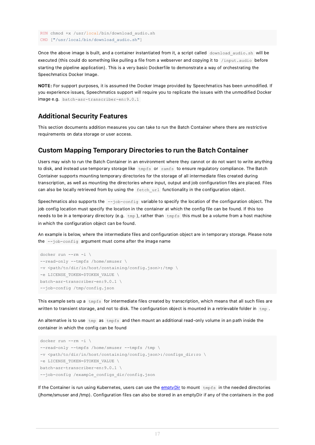```
RUN chmod +x /usr/local/bin/download_audio.sh
CMD ["/usr/local/bin/download_audio.sh"]
```
Once the above image is built, and a container instantiated from it, a script called download audio.sh will be executed (this could do something like pulling a file from a webserver and copying it to /input.audio before starting the pipeline application). This is a very basic Dockerfile to demonstrate a way of orchestrating the Speechmatics Docker Image.

NOTE: For support purposes, it is assumed the Docker Image provided by Speechmatics has been unmodified. If you experience issues, Speechmatics support will require you to replicate the issues with the unmodified Docker image e.g. batch-asr-transcriber-en:9.0.1

### <span id="page-16-0"></span>Additional Security Features

This section documents addition measures you can take to run the Batch Container where there are restrictive requirements on data storage or user access.

### <span id="page-16-1"></span>Custom Mapping Temporary Directories to run the Batch Container

Users may wish to run the Batch Container in an environment where they cannot or do not want to write anything to disk, and instead use temporary storage like  $\text{tmpfs}$  or  $\text{ramfs}$  to ensure regulatory compliance. The Batch Container supports mounting temporary directories for the storage of all intermediate files created during transcription, as well as mounting the directories where input, output and job configuration files are placed. Files can also be locally retrieved from by using the fetch url functionality in the configuration object.

Speechmatics also supports the  $--job\text{-config}$  variable to specify the location of the configuration object. The job config location must specify the location in the container at which the config file can be found. If this too needs to be in a temporary directory (e.g. tmp), rather than tmpfs this must be a volume from a host machine in which the configuration object can be found.

An example is below, where the intermediate files and configuration object are in temporary storage. Please note the --job-config argument must come after the image name

```
docker run --rm -i \
--read-only --tmpfs /home/smuser \
-v <path/to/dir/in/host/containing/config.json>:/tmp \
-e LICENSE_TOKEN=$TOKEN_VALUE \
batch-asr-transcriber-en:9.0.1 \
--job-config /tmp/config.json
```
This example sets up a tmpfs for intermediate files created by transcription, which means that all such files are written to transient storage, and not to disk. The configuration object is mounted in a retrievable folder in  $\pm m_{\rm P}$ .

An alternative is to use tmp as tmpfs and then mount an additional read-only volume in an path inside the container in which the config can be found

```
docker run --rm -i \
--read-only --tmpfs /home/smuser --tmpfs /tmp \
-v <path/to/dir/in/host/containing/config.json>:/configs_dir:ro \
-e LICENSE_TOKEN=$TOKEN_VALUE \
batch-asr-transcriber-en:9.0.1 \
--job-config /example_configs_dir/config.json
```
If the Container is run using Kubernetes, users can use the [emptyDir](https://kubernetes.io/docs/concepts/storage/volumes/#emptydir) to mount tmpfs in the needed directories (/home/smuser and /tmp). Configuration files can also be stored in an emptyDir if any of the containers in the pod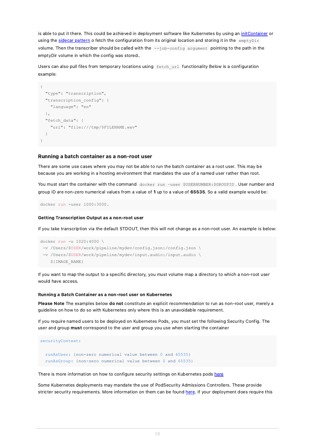is able to put it there. This could be achieved in deployment software like Kubernetes by using an [initContainer](https://kubernetes.io/docs/concepts/workloads/pods/init-containers/) or using the [sidecar](https://www.oreilly.com/library/view/designing-distributed-systems/9781491983638/ch02.html) pattern o fetch the configuration from its original location and storing it in the emptyDir volume. Then the transcriber should be called with the --job-config argument pointing to the path in the emptyDir volume in which the config was stored..

Users can also pull files from temporary locations using fetch url functionality Below is a configuration example:

```
{
  "type": "transcription",
  "transcription_config": {
   "language": "en"
 },
  "fetch_data": {
    "url": "file:///tmp/$FILENAME.wav"
  }
}
```
#### <span id="page-17-0"></span>Running a batch container as a non-root user

There are some use cases where you may not be able to run the batch container as a root user. This may be because you are working in a hosting environment that mandates the use of a named user rather than root.

You must start the container with the command docker run -user \$USERNUMBER:\$GROUPID. User number and group ID are non-zero numerical values from a value of 1 up to a value of 65535. So a valid example would be:

docker run -user 1000:3000.

#### Getting Transcription Output as a non-root user

If you take transcription via the default STDOUT, then this will not change as a non-root user. An example is below:

```
docker run -u 1020:4000 \
-v /Users/$USER/work/pipeline/mydev/config.json:/config.json \
 -v /Users/$USER/work/pipeline/mydev/input.audio:/input.audio \
    ${IMAGE_NAME}
```
If you want to map the output to a specific directory, you must volume map a directory to which a non-root user would have access.

#### <span id="page-17-1"></span>Running a Batch Container as a non-root user on Kubernetes

Please Note The examples below do not constitute an explicit recommendation to run as non-root user, merely a guideline on how to do so with Kubernetes only where this is an unavoidable requirement.

If you require named users to be deployed on Kubernetes Pods, you must set the following Security Config. The user and group must correspond to the user and group you use when starting the container

```
securityContext:
  runAsUser: {non-zero numerical value between 0 and 65535}
  runAsGroup: {non-zero numerical value between 0 and 65535}
```
There is more information on how to configure security settings on Kubernetes pods [here](https://kubernetes.io/docs/tasks/configure-pod-container/security-context/)

Some Kubernetes deployments may mandate the use of PodSecurity Admissions Controllers. These provide stricter security requirements. More information on them can be found [here](https://kubernetes.io/docs/reference/access-authn-authz/admission-controllers/). If your deployment does require this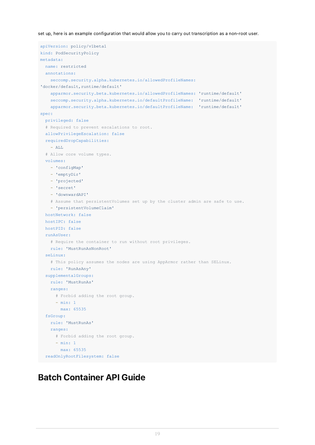set up, here is an example configuration that would allow you to carry out transcription as a non-root user.

```
apiVersion: policy/v1beta1
kind: PodSecurityPolicy
metadata:
 name: restricted
 annotations:
    seccomp.security.alpha.kubernetes.io/allowedProfileNames:
'docker/default, runtime/default'
   apparmor.security.beta.kubernetes.io/allowedProfileNames: 'runtime/default'
    seccomp.security.alpha.kubernetes.io/defaultProfileName: 'runtime/default'
   apparmor.security.beta.kubernetes.io/defaultProfileName: 'runtime/default'
spec:
 privileged: false
  # Required to prevent escalations to root.
 allowPrivilegeEscalation: false
 requiredDropCapabilities:
   - ALL
  # Allow core volume types.
 volumes:
   - 'configMap'
   - 'emptyDir'
    - 'projected'
   - 'secret'
    - 'downwardAPI'
   # Assume that persistentVolumes set up by the cluster admin are safe to use.
    - 'persistentVolumeClaim'
 hostNetwork: false
 hostIPC: false
 hostPID: false
  runAsUser:
   # Require the container to run without root privileges.
   rule: 'MustRunAsNonRoot'
  seLinux:
    # This policy assumes the nodes are using AppArmor rather than SELinux.
   rule: 'RunAsAny'
  supplementalGroups:
   rule: 'MustRunAs'
   ranges:
     # Forbid adding the root group.
      - min: 1
       max: 65535
  fsGroup:
   rule: 'MustRunAs'
   ranges:
     # Forbid adding the root group.
      - min: 1
       max: 65535
  readOnlyRootFilesystem: false
```
# <span id="page-18-0"></span>Batch Container API Guide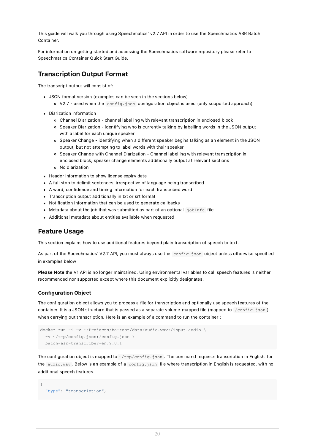This guide will walk you through using Speechmatics' v2.7 API in order to use the Speechmatics ASR Batch Container.

For information on getting started and accessing the Speechmatics software repository please refer to Speechmatics Container Quick Start Guide.

### <span id="page-19-0"></span>Transcription Output Format

The transcript output will consist of:

- JSON format version (examples can be seen in the sections below)
	- V2.7 used when the config.json configuration object is used (only supported approach)
- Diarization information
	- Channel Diarization channel labelling with relevant transcription in enclosed block
	- Speaker Diarization identifying who is currently talking by labelling words in the JSON output with a label for each unique speaker
	- Speaker Change identifying when a different speaker begins talking as an element in the JSON output, but not attempting to label words with their speaker
	- Speaker Change with Channel Diarization Channel labelling with relevant transcription in enclosed block, speaker change elements additionally output at relevant sections
	- No diarization
- Header information to show license expiry date
- A full stop to delimit sentences, irrespective of language being transcribed
- A word, confidence and timing information for each transcribed word
- Transcription output additionally in txt or srt format
- Notification information that can be used to generate callbacks
- $\bullet$  Metadata about the job that was submitted as part of an optional  $j$ obInfo file
- Additional metadata about entities available when requested

# <span id="page-19-1"></span>Feature Usage

This section explains how to use additional features beyond plain transcription of speech to text.

As part of the Speechmatics' V2.7 API, you must always use the config.json object unless otherwise specified in examples below

Please Note the V1 API is no longer maintained. Using environmental variables to call speech features is neither recommended nor supported except where this document explicitly designates.

### <span id="page-19-2"></span>Configuration Object

The configuration object allows you to process a file for transcription and optionally use speech features of the container. It is a JSON structure that is passed as a separate volume-mapped file (mapped to /config.json) when carrying out transcription. Here is an example of a command to run the container :

```
docker run -i -v ~/Projects/ba-test/data/audio.wav:/input.audio \
  -v ~/tmp/config.json:/config.json \
 batch-asr-transcriber-en:9.0.1
```
The configuration object is mapped to  $\sim$ /tmp/config.json. The command requests transcription in English. for the audio.wav. Below is an example of a config.json file where transcription in English is requested, with no additional speech features.

```
{
  "type": "transcription",
```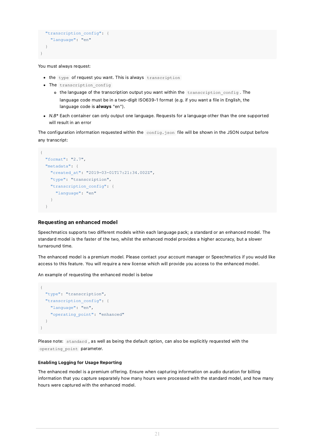```
"transcription_config": {
   "language": "en"
  }
}
```
You must always request:

- the type of request you want. This is always transcription
- The transcription config
	- o the language of the transcription output you want within the transcription config. The language code must be in a two-digit ISO639-1 format (e.g. if you want a file in English, the language code is always "en").
- $\bullet$  N.B\* Each container can only output one language. Requests for a language other than the one supported will result in an error

The configuration information requested within the config.json file will be shown in the JSON output before any transcript:

```
{
  "format": "2.7",
  "metadata": {
    "created_at": "2019-03-01T17:21:34.002Z",
    "type": "transcription",
    "transcription config": {
      "language": "en"
    }
  }
```
### <span id="page-20-0"></span>Requesting an enhanced model

Speechmatics supports two different models within each language pack; a standard or an enhanced model. The standard model is the faster of the two, whilst the enhanced model provides a higher accuracy, but a slower turnaround time.

The enhanced model is a premium model. Please contact your account manager or Speechmatics if you would like access to this feature. You will require a new license which will provide you access to the enhanced model.

An example of requesting the enhanced model is below

```
{
  "type": "transcription",
 "transcription_config": {
    "language": "en",
    "operating_point": "enhanced"
  }
}
```
Please note: standard , as well as being the default option, can also be explicitly requested with the operating point parameter.

### <span id="page-20-1"></span>Enabling Logging for Usage Reporting

The enhanced model is a premium offering. Ensure when capturing information on audio duration for billing information that you capture separately how many hours were processed with the standard model, and how many hours were captured with the enhanced model.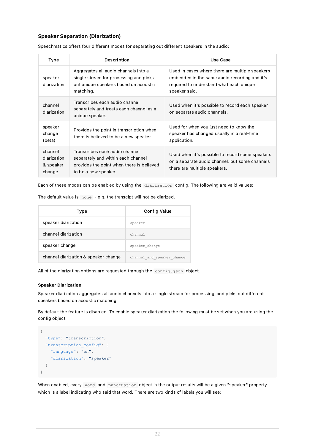### <span id="page-21-0"></span>Speaker Separation (Diarization)

| Type                                          | <b>Description</b>                                                                                                                        | Use Case                                                                                                                                                     |  |
|-----------------------------------------------|-------------------------------------------------------------------------------------------------------------------------------------------|--------------------------------------------------------------------------------------------------------------------------------------------------------------|--|
| speaker<br>diarization                        | Aggregates all audio channels into a<br>single stream for processing and picks<br>out unique speakers based on acoustic<br>matching.      | Used in cases where there are multiple speakers<br>embedded in the same audio recording and it's<br>required to understand what each unique<br>speaker said. |  |
| channel<br>diarization                        | Transcribes each audio channel<br>separately and treats each channel as a<br>unique speaker.                                              | Used when it's possible to record each speaker<br>on separate audio channels.                                                                                |  |
| speaker<br>change<br>(beta)                   | Provides the point in transcription when<br>there is believed to be a new speaker.                                                        | Used for when you just need to know the<br>speaker has changed usually in a real-time<br>application.                                                        |  |
| channel<br>diarization<br>& speaker<br>change | Transcribes each audio channel<br>separately and within each channel<br>provides the point when there is believed<br>to be a new speaker. | Used when it's possible to record some speakers<br>on a separate audio channel, but some channels<br>there are multiple speakers.                            |  |

Speechmatics offers four different modes for separating out different speakers in the audio:

Each of these modes can be enabled by using the diarization config. The following are valid values:

The default value is none - e.g. the transcipt will not be diarized.

| Type                                 | <b>Config Value</b>        |
|--------------------------------------|----------------------------|
| speaker diarization                  | speaker                    |
| channel diarization                  | channel                    |
| speaker change                       | speaker change             |
| channel diarization & speaker change | channel and speaker change |

All of the diarization options are requested through the config.json object.

#### <span id="page-21-1"></span>Speaker Diarization

Speaker diarization aggregates all audio channels into a single stream for processing, and picks out different speakers based on acoustic matching.

By default the feature is disabled. To enable speaker diarization the following must be set when you are using the config object:

```
{
  "type": "transcription",
 "transcription config": {
   "language": "en",
    "diarization": "speaker"
  }
}
```
When enabled, every word and punctuation object in the output results will be a given "speaker" property which is a label indicating who said that word. There are two kinds of labels you will see: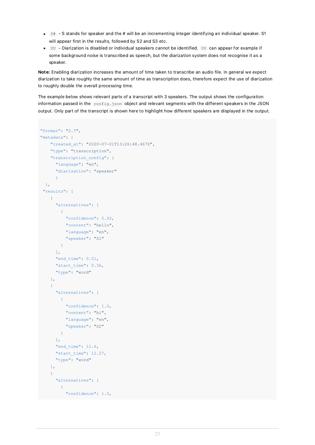- $\cdot$   $\cdot$  S stands for speaker and the # will be an incrementing integer identifying an individual speaker. S1 will appear first in the results, followed by S2 and S3 etc.
- UU Diarization is disabled or individual speakers cannot be identified. UU can appear for example if some background noise is transcribed as speech, but the diarization system does not recognise it as a speaker.

Note: Enabling diarization increases the amount of time taken to transcribe an audio file. In general we expect diarization to take roughly the same amount of time as transcription does, therefore expect the use of diarization to roughly double the overall processing time.

The example below shows relevant parts of a transcript with 3 speakers. The output shows the configuration information passed in the config.json object and relevant segments with the different speakers in the JSON output. Only part of the transcript is shown here to highlight how different speakers are displayed in the output.

```
"format": "2.7",
"metadata": {
    "created_at": "2020-07-01T13:26:48.467Z",
    "type": "transcription",
    "transcription_config": {
     "language": "en",
      "diarization": "speaker"
      }
 },
 "results": [
    {
      "alternatives": [
       \left\{\right."confidence": 0.93,
          "content": "hello",
          "language": "en",
          "speaker": "S1"
        }
      ],
      "end time": 0.51,
      "start_time": 0.36,
      "type": "word"
    },
    {
      "alternatives": [
       \{"confidence": 1.0,
         "content": "hi",
          "language": "en",
          "speaker": "S2"
        }
      ],
      "end time": 12.6,
      "start time": 12.27,
      "type": "word"
    },
    {
      "alternatives": [
       \{"confidence": 1.0,
```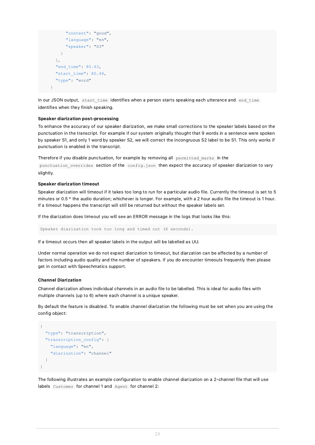```
"content": "good",
      "language": "en",
      "speaker": "S3"
   }
 ],
 "end time": 80.63,
 "start_time": 80.48,
  "type": "word"
}
```
In our JSON output, start\_time identifies when a person starts speaking each utterance and end\_time identifies when they finish speaking.

#### <span id="page-23-0"></span>Speaker diarization post-processing

To enhance the accuracy of our speaker diarization, we make small corrections to the speaker labels based on the punctuation in the transcript. For example if our system originally thought that 9 words in a sentence were spoken by speaker S1, and only 1 word by speaker S2, we will correct the incongruous S2 label to be S1. This only works if punctuation is enabled in the transcript.

Therefore if you disable punctuation, for example by removing all permitted marks in the

punctuation overrides section of the config.json then expect the accuracy of speaker diarization to vary slightly.

#### <span id="page-23-1"></span>Speaker diarization timeout

Speaker diarization will timeout if it takes too long to run for a particular audio file. Currently the timeout is set to 5 minutes or 0.5 \* the audio duration; whichever is longer. For example, with a 2 hour audio file the timeout is 1 hour. If a timeout happens the transcript will still be returned but without the speaker labels set.

If the diarization does timeout you will see an ERROR message in the logs that looks like this:

Speaker diarization took too long and timed out (X seconds).

If a timeout occurs then all speaker labels in the output will be labelled as UU.

Under normal operation we do not expect diarization to timeout, but diarzation can be affected by a number of factors including audio quality and the number of speakers. If you do encounter timeouts frequently then please get in contact with Speechmatics support.

#### <span id="page-23-2"></span>Channel Diarization

Channel diarization allows individual channels in an audio file to be labelled. This is ideal for audio files with multiple channels (up to 6) where each channel is a unique speaker.

By default the feature is disabled. To enable channel diarization the following must be set when you are using the config object:

```
{
 "type": "transcription",
  "transcription_config": {
    "language": "en",
    "diarization": "channel"
  }
}
```
The following illustrates an example configuration to enable channel diarization on a 2-channel file that will use labels Customer for channel 1 and Agent for channel 2: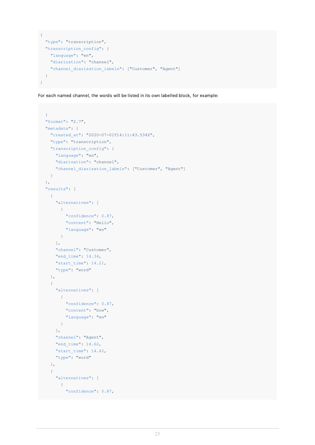```
{
 "type": "transcription",
 "transcription_config": {
   "language": "en",
   "diarization": "channel",
   "channel diarization labels": ["Customer", "Agent"]
  }
}
```
For each named channel, the words will be listed in its own labelled block, for example:

```
{
"format": "2.7",
"metadata": {
  "created_at": "2020-07-01T14:11:43.534Z",
  "type": "transcription",
  "transcription_config": {
    "language": "en",
   "diarization": "channel",
    "channel_diarization_labels": ["Customer", "Agent"]
  }
},
"results": [
  {
    "alternatives": [
     \left\{\begin{array}{c}1\end{array}\right\}"confidence": 0.87,
         "content": "Hello",
        "language": "en"
     }
    ],
    "channel": "Customer",
    "end time": 14.34,
    "start_time": 14.21,
    "type": "word"
  },
  {
    "alternatives": [
     \left\{ \begin{array}{c} \end{array} \right."confidence": 0.87,
        "content": "how",
         "language": "en"
      }
    ],
    "channel": "Agent",
    "end time": 14.62,
    "start time": 14.42,
    "type": "word"
  },
  {
    "alternatives": [
     \qquad \qquad \{"confidence": 0.87,
```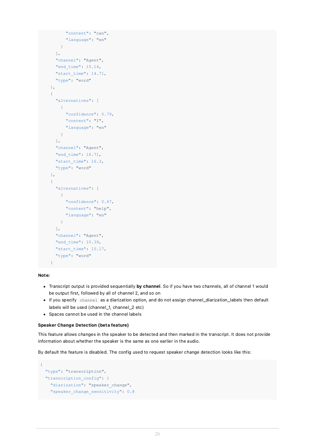```
"content": "can",
      "language": "en"
   }
  ],
  "channel": "Agent",
  "end time": 15.14,
  "start time": 14.71,
  "type": "word"
},
{
  "alternatives": [
   \{"confidence": 0.79,
      "content": "I",
      "language": "en"
    }
 ],
  "channel": "Agent",
  "end_time": 16.71,
  "start time": 16.3,
  "type": "word"
},
{
  "alternatives": [
   {
      "confidence": 0.67,
      "content": "help",
      "language": "en"
    }
 ],
  "channel": "Agent",
  "end_time": 10.39,
  "start_time": 10.17,
  "type": "word"
}
```
### Note:

- Transcript output is provided sequentially by channel. So if you have two channels, all of channel 1 would be output first, followed by all of channel 2, and so on
- If you specify channel as a diarization option, and do not assign channel\_diarization\_labels then default labels will be used (channel\_1, channel\_2 etc)
- Spaces cannot be used in the channel labels

#### <span id="page-25-0"></span>Speaker Change Detection (beta feature)

This feature allows changes in the speaker to be detected and then marked in the transcript. It does not provide information about whether the speaker is the same as one earlier in the audio.

By default the feature is disabled. The config used to request speaker change detection looks like this:

```
{
  "type": "transcription",
 "transcription_config": {
   "diarization": "speaker change",
    "speaker_change_sensitivity": 0.8
```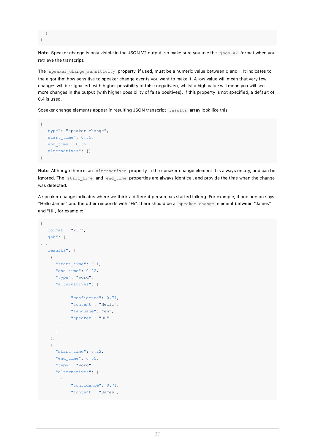```
}
}
```
Note: Speaker change is only visible in the JSON V2 output, so make sure you use the json-v2 format when you retrieve the transcript.

The speaker change sensitivity property, if used, must be a numeric value between 0 and 1. It indicates to the algorithm how sensitive to speaker change events you want to make it. A low value will mean that very few changes will be signalled (with higher possibility of false negatives), whilst a high value will mean you will see more changes in the output (with higher possibility of false positives). If this property is not specified, a default of 0.4 is used.

Speaker change elements appear in resulting JSON transcript results array look like this:

```
{
 "type": "speaker_change",
 "start_time": 0.55,
 "end_time": 0.55,
 "alternatives": []
}
```
Note: Although there is an alternatives property in the speaker change element it is always empty, and can be ignored. The start time and end time properties are always identical, and provide the time when the change was detected.

A speaker change indicates where we think a different person has started talking. For example, if one person says "Hello James" and the other responds with "Hi", there should be a speaker change element between "James" and "Hi", for example:

```
{
  "format": "2.7",
  "job": {
....
  "results": [
    {
      "start_time": 0.1,
      "end_time": 0.22,
      "type": "word",
      "alternatives": [
        {
            "confidence": 0.71,
            "content": "Hello",
            "language": "en",
            "speaker": "UU"
        }
      ]
    },
    {
      "start time": 0.22,
      "end time": 0.55,
      "type": "word",
      "alternatives": [
        {
            "confidence": 0.71,
            "content": "James",
```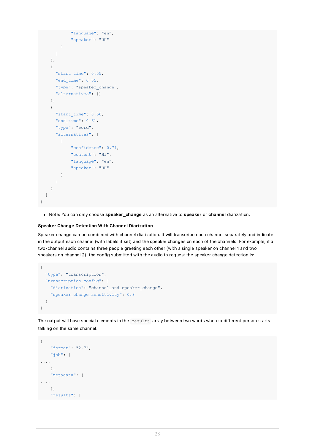```
"language": "en",
            "speaker": "UU"
        }
      ]
    },
    {
      "start_time": 0.55,
      "end_time": 0.55,
      "type": "speaker change",
      "alternatives": []
    },
    {
      "start time": 0.56,
      "end time": 0.61,
      "type": "word",
      "alternatives": [
        {
            "confidence": 0.71,
            "content": "Hi",
            "language": "en",
            "speaker": "UU"
        }
      ]
    }
 ]
}
```
• Note: You can only choose speaker\_change as an alternative to speaker or channel diarization.

### <span id="page-27-0"></span>Speaker Change Detection With Channel Diarization

Speaker change can be combined with channel diarization. It will transcribe each channel separately and indicate in the output each channel (with labels if set) and the speaker changes on each of the channels. For example, if a two-channel audio contains three people greeting each other (with a single speaker on channel 1 and two speakers on channel 2), the config submitted with the audio to request the speaker change detection is:

```
{
 "type": "transcription",
 "transcription_config": {
   "diarization": "channel_and_speaker_change",
   "speaker_change_sensitivity": 0.8
 }
}
```
The output will have special elements in the results array between two words where a different person starts talking on the same channel.

```
{
   "format": "2.7",
    "job": {
....
   },
   "metadata": {
....
   },
  "results": [
```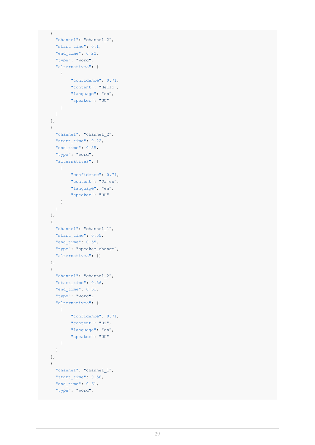```
{
  "channel": "channel_2",
  "start time": 0.1,
  "end time": 0.22,
  "type": "word",
  "alternatives": [
   \{"confidence": 0.71,
       "content": "Hello",
       "language": "en",
       "speaker": "UU"
    }
  ]
},
{
 "channel": "channel_2",
 "start_time": 0.22,
 "end time": 0.55,
 "type": "word",
 "alternatives": [
  \left\{\right."confidence": 0.71,
        "content": "James",
       "language": "en",
       "speaker": "UU"
    }
  ]
},
{
 "channel": "channel_1",
 "start time": 0.55,
 "end time": 0.55,
 "type": "speaker_change",
 "alternatives": []
},
{
 "channel": "channel_2",
 "start_time": 0.56,
 "end_time": 0.61,
 "type": "word",
  "alternatives": [
   \left\{ \begin{array}{c} \end{array} \right."confidence": 0.71,
       "content": "Hi",
        "language": "en",
        "speaker": "UU"
    }
  ]
},
{
 "channel": "channel_1",
 "start_time": 0.56,
 "end_time": 0.61,
 "type": "word",
```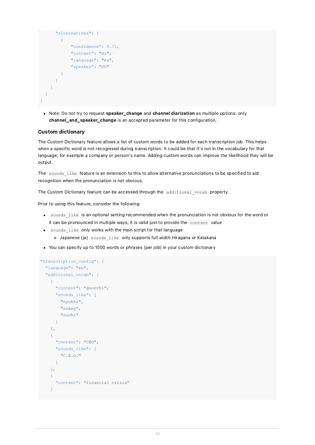```
"alternatives": [
        {
             "confidence": 0.71,
             "content": "Hi",
            "language": "en",
            "speaker": "UU"
        }
      ]
    }
  ]
}
```
• Note: Do not try to request speaker\_change and channel diarization as multiple options: only channel\_and\_speaker\_change is an accepted parameter for this configuration.

### <span id="page-29-0"></span>Custom dictionary

The Custom Dictionary feature allows a list of custom words to be added for each transcription job. This helps when a specific word is not recognised during transcription. It could be that it's not in the vocabulary for that language, for example a company or person's name. Adding custom words can improve the likelihood they will be output.

The sounds like feature is an extension to this to allow alternative pronunciations to be specified to aid recognition when the pronunciation is not obvious.

The Custom Dictionary feature can be accessed through the additional vocab property.

Prior to using this feature, consider the following:

- sounds like is an optional setting recommended when the pronunciation is not obvious for the word or it can be pronounced in multiple ways; it is valid just to provide the content value
- sounds\_like only works with the main script for that language
	- Japanese (ja) sounds\_like only supports full width Hiragana or Katakana
- You can specify up to 1000 words or phrases (per job) in your custom dictionary

```
"transcription config": {
 "language": "en",
  "additional vocab": [
    {
      "content": "gnocchi",
     "sounds_like": [
        "nyohki",
        "nokey",
        "nochi"
      ]
    },
    {
     "content": "CEO",
      "sounds_like": [
        "C.E.O."
     ]
    },
    {
      "content": "financial crisis"
    }
```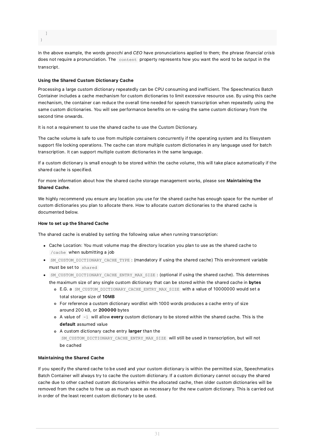] }

In the above example, the words gnocchi and CEO have pronunciations applied to them; the phrase financial crisis does not require a pronunciation. The content property represents how you want the word to be output in the transcript.

### <span id="page-30-0"></span>Using the Shared Custom Dictionary Cache

Processing a large custom dictionary repeatedly can be CPU consuming and inefficient. The Speechmatics Batch Container includes a cache mechanism for custom dictionaries to limit excessive resource use. By using this cache mechanism, the container can reduce the overall time needed for speech transcription when repeatedly using the same custom dictionaries. You will see performance benefits on re-using the same custom dictionary from the second time onwards.

It is not a requirement to use the shared cache to use the Custom Dictionary.

The cache volume is safe to use from multiple containers concurrently if the operating system and its filesystem support file locking operations. The cache can store multiple custom dictionaries in any language used for batch transcription. It can support multiple custom dictionaries in the same language.

If a custom dictionary is small enough to be stored within the cache volume, this will take place automatically if the shared cache is specified.

For more information about how the shared cache storage management works, please see Maintaining the Shared Cache.

We highly recommend you ensure any location you use for the shared cache has enough space for the number of custom dictionaries you plan to allocate there. How to allocate custom dictionaries to the shared cache is documented below.

### How to set up the Shared Cache

The shared cache is enabled by setting the following value when running transcription:

- Cache Location: You must volume map the directory location you plan to use as the shared cache to /cache when submitting a job
- SM\_CUSTOM\_DICTIONARY\_CACHE\_TYPE : (mandatory if using the shared cache) This environment variable must be set to shared
- SM\_CUSTOM\_DICTIONARY\_CACHE\_ENTRY\_MAX\_SIZE : (optional if using the shared cache). This determines the maximum size of any single custom dictionary that can be stored within the shared cache in bytes
	- E.G. a SM\_CUSTOM\_DICTIONARY\_CACHE\_ENTRY\_MAX\_SIZE with a value of 10000000 would set a total storage size of 10MB
	- For reference a custom dictionary wordlist with 1000 words produces a cache entry of size around 200 kB, or 200000 bytes
	- $\circ$  A value of  $-1$  will allow every custom dictionary to be stored within the shared cache. This is the default assumed value
	- o A custom dictionary cache entry larger than the SM\_CUSTOM\_DICTIONARY\_CACHE\_ENTRY\_MAX\_SIZE will still be used in transcription, but will not be cached

### Maintaining the Shared Cache

If you specify the shared cache to be used and your custom dictionary is within the permitted size, Speechmatics Batch Container will always try to cache the custom dictionary. If a custom dictionary cannot occupy the shared cache due to other cached custom dictionaries within the allocated cache, then older custom dictionaries will be removed from the cache to free up as much space as necessary for the new custom dictionary. This is carried out in order of the least recent custom dictionary to be used.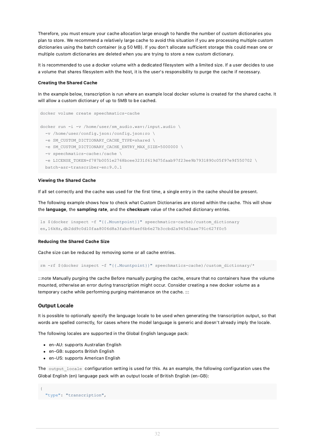Therefore, you must ensure your cache allocation large enough to handle the number of custom dictionaries you plan to store. We recommend a relatively large cache to avoid this situation if you are processing multiple custom dictionaries using the batch container (e.g 50 MB). If you don't allocate sufficient storage this could mean one or multiple custom dictionaries are deleted when you are trying to store a new custom dictionary.

It is recommended to use a docker volume with a dedicated filesystem with a limited size. If a user decides to use a volume that shares filesystem with the host, it is the user's responsibility to purge the cache if necessary.

#### Creating the Shared Cache

In the example below, transcription is run where an example local docker volume is created for the shared cache. It will allow a custom dictionary of up to 5MB to be cached.

```
docker volume create speechmatics-cache
docker run -i -v /home/user/sm_audio.wav:/input.audio \
  -v /home/user/config.json:/config.json:ro \
 -e SM_CUSTOM_DICTIONARY_CACHE_TYPE=shared \
 -e SM_CUSTOM_DICTIONARY_CACHE_ENTRY_MAX_SIZE=5000000 \
  -v speechmatics-cache:/cache \
  -e LICENSE_TOKEN=f787b0051e2768bcee3231f619d75faab97f23ee9b7931890c05f97e9f550702 \
 batch-asr-transcriber-en:9.0.1
```
#### Viewing the Shared Cache

If all set correctly and the cache was used for the first time, a single entry in the cache should be present.

The following example shows how to check what Custom Dictionaries are stored within the cache. This will show the language, the sampling rate, and the checksum value of the cached dictionary entries.

```
ls $(docker inspect -f "{{.Mountpoint}}" speechmatics-cache)/custom_dictionary
en,16kHz,db2dd9c0d10faa8006d8a3fabc86aef6b6e27b3ccbd2a945d3aae791c627f0c5
```
#### Reducing the Shared Cache Size

Cache size can be reduced by removing some or all cache entries.

```
rm -rf $(docker inspect -f "{{.Mountpoint}}" speechmatics-cache)/custom_dictionary/*
```
:::note Manually purging the cache Before manually purging the cache, ensure that no containers have the volume mounted, otherwise an error during transcription might occur. Consider creating a new docker volume as a temporary cache while performing purging maintenance on the cache. :::

#### <span id="page-31-0"></span>Output Locale

It is possible to optionally specify the language locale to be used when generating the transcription output, so that words are spelled correctly, for cases where the model language is generic and doesn't already imply the locale.

The following locales are supported in the Global English language pack:

- en-AU: supports Australian English
- en-GB: supports British English
- en-US: supports American English

The output locale configuration setting is used for this. As an example, the following configuration uses the Global English (en) language pack with an output locale of British English (en-GB):

```
{
 "type": "transcription",
```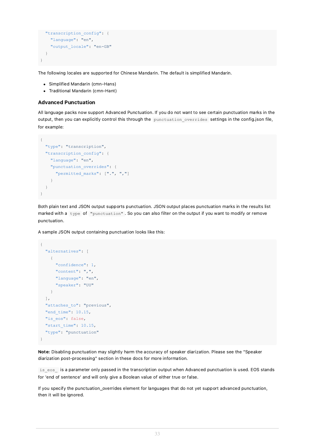```
"transcription_config": {
   "language": "en",
   "output_locale": "en-GB"
 }
}
```
The following locales are supported for Chinese Mandarin. The default is simplified Mandarin.

- Simplified Mandarin (cmn-Hans)
- Traditional Mandarin (cmn-Hant)

### <span id="page-32-0"></span>Advanced Punctuation

All language packs now support Advanced Punctuation. If you do not want to see certain punctuation marks in the output, then you can explicitly control this through the punctuation overrides settings in the config.json file, for example:

```
{
  "type": "transcription",
  "transcription_config": {
   "language": "en",
   "punctuation_overrides": {
      "permitted_marks": [".", ","]
   }
  }
}
```
Both plain text and JSON output supports punctuation. JSON output places punctuation marks in the results list marked with a type of "punctuation". So you can also filter on the output if you want to modify or remove punctuation.

A sample JSON output containing punctuation looks like this:

```
{
  "alternatives": [
    \left\{ \right."confidence": 1,
      "content": ",",
      "language": "en",
      "speaker": "UU"
    }
  ],
  "attaches to": "previous",
  "end_time": 10.15,
  "is eos": false,
  "start_time": 10.15,
  "type": "punctuation"
}
```
Note: Disabling punctuation may slightly harm the accuracy of speaker diarization. Please see the "Speaker diarization post-processing" section in these docs for more information.

is eos is a parameter only passed in the transcription output when Advanced punctuation is used. EOS stands for 'end of sentence' and will only give a Boolean value of either true or false.

If you specify the punctuation\_overrides element for languages that do not yet support advanced punctuation, then it will be ignored.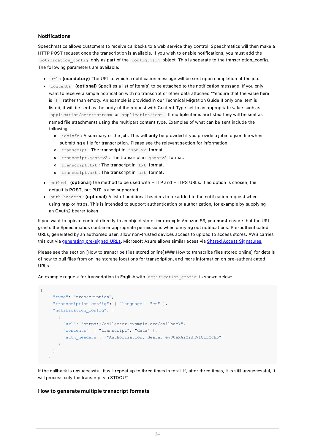### <span id="page-33-0"></span>Notifications

Speechmatics allows customers to receive callbacks to a web service they control. Speechmatics will then make a HTTP POST request once the transcription is available. If you wish to enable notifications, you must add the notification config only as part of the config.json object. This is separate to the transcription\_config. The following parameters are available:

- url : (mandatory) The URL to which a notification message will be sent upon completion of the job.
- contents : (optional) Specifies a list of item(s) to be attached to the notification message. If you only want to receive a simple notification with no transcript or other data attached \*\*ensure that the value here is [] rather than empty. An example is provided in our Technical Migration Guide If only one item is listed, it will be sent as the body of the request with Content-Type set to an appropriate value such as application/octet-stream or application/json. If multiple items are listed they will be sent as named file attachments using the multipart content type. Examples of what can be sent include the following:
	- o jobinfo: A summary of the job. This will only be provided if you provide a jobinfo.json file when submitting a file for transcription. Please see the relevant section for information
	- o transcript : The transcript in json-v2 format
	- o transcript.json-v2 : The transcript in json-v2 format.
	- o transcript.txt: The transcript in txt format.
	- transcript.srt : The transcript in srt format.
- method : (optional) the method to be used with HTTP and HTTPS URLs. If no option is chosen, the default is POST, but PUT is also supported.
- auth headers : (optional) A list of additional headers to be added to the notification request when using http or https. This is intended to support authentication or authorization, for example by supplying an OAuth2 bearer token.

If you want to upload content directly to an object store, for example Amazon S3, you must ensure that the URL grants the Speechmatics container appropriate permissions when carrying out notifications. Pre-authenticated URLs, generated by an authorsed user, allow non-trusted devices access to upload to access stores. AWS carries this out via generating [pre-signed](https://boto3.amazonaws.com/v1/documentation/api/latest/guide/s3-presigned-urls.html) URLs. Microsoft Azure allows similar acess via Shared Access [Signatures](https://docs.microsoft.com/en-us/azure/storage/common/storage-sas-overview).

Please see the section [How to transcribe files stored online](### How to transcribe files stored online) for details of how to pull files from online storage locations for transcription, and more information on pre-authenticated URLs

An example request for transcription in English with notification config is shown below:

```
{
     "type": "transcription",
     "transcription config": { "language": "en" },
     "notification_config": [
       {
         "url": "https://collector.example.org/callback",
         "contents": [ "transcript", "data" ],
         "auth headers": ["Authorization: Bearer eyJ0eXAiOiJKV1QiLCJhb"]
       }
    ]
   }
```
If the callback is unsuccessful, it will repeat up to three times in total. If, after three times, it is still unsuccessful, it will process only the transcript via STDOUT.

### <span id="page-33-1"></span>How to generate multiple transcript formats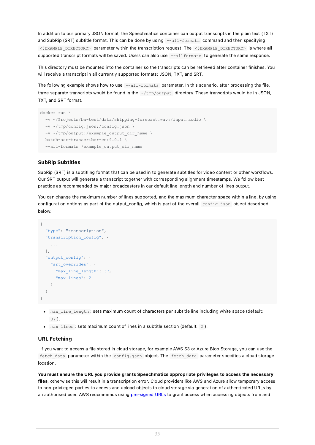In addition to our primary JSON format, the Speechmatics container can output transcripts in the plain text (TXT) and SubRip (SRT) subtitle format. This can be done by using --all-formats command and then specifying <\$EXAMPLE\_DIRECTORY> parameter within the transcription request. The <\$EXAMPLE\_DIRECTORY> is where all supported transcript formats will be saved. Users can also use --allformats to generate the same response.

This directory must be mounted into the container so the transcripts can be retrieved after container finishes. You will receive a transcript in all currently supported formats: JSON, TXT, and SRT.

The following example shows how to use  $--$ all-formats parameter. In this scenario, after processing the file, three separate transcripts would be found in the  $\sim$ /tmp/output directory. These transcripts would be in JSON, TXT, and SRT format.

```
docker run \
 -v ~/Projects/ba-test/data/shipping-forecast.wav:/input.audio \
 -v ~/tmp/config.json:/config.json \
 -v ~/tmp/output:/example_output_dir_name \
 batch-asr-transcriber-en:9.0.1 \
  --all-formats /example output dir name
```
### <span id="page-34-0"></span>SubRip Subtitles

SubRip (SRT) is a subtitling format that can be used in to generate subtitles for video content or other workflows. Our SRT output will generate a transcript together with corresponding alignment timestamps. We follow best practice as recommended by major broadcasters in our default line length and number of lines output.

You can change the maximum number of lines supported, and the maximum character space within a line, by using configuration options as part of the output\_config, which is part of the overall config.json object described below:

```
{
  "type": "transcription",
  "transcription_config": {
   ...
  },
  "output_config": {
    "srt_overrides": {
      "max_line_length": 37,
      "max_lines": 2
    }
 }
}
```
- max line length : sets maximum count of characters per subtitle line including white space (default: 37 ).
- max\_lines : sets maximum count of lines in a subtitle section (default: 2 ).

#### <span id="page-34-1"></span>URL Fetching

If you want to access a file stored in cloud storage, for example AWS S3 or Azure Blob Storage, you can use the fetch data parameter within the config.json object. The fetch data parameter specifies a cloud storage location.

You must ensure the URL you provide grants Speechmatics appropriate privileges to access the necessary files, otherwise this will result in a transcription error. Cloud providers like AWS and Azure allow temporary access to non-privileged parties to access and upload objects to cloud storage via generation of authenticated URLs by an authorised user. AWS recommends using [pre-signed](https://boto3.amazonaws.com/v1/documentation/api/latest/guide/s3-presigned-urls.html) URLs to grant access when accessing objects from and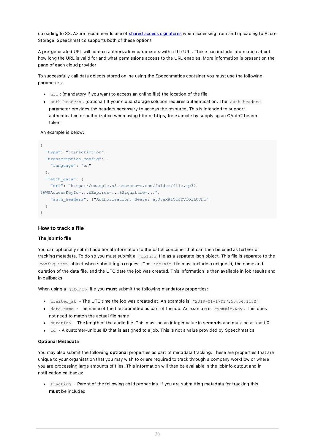uploading to S3. Azure recommends use of shared access [signatures](https://docs.microsoft.com/en-gb/azure/storage/common/storage-sas-overview) when accessing from and uploading to Azure Storage. Speechmatics supports both of these options

A pre-generated URL will contain authorization parameters within the URL. These can include information about how long the URL is valid for and what permissions access to the URL enables. More information is present on the page of each cloud provider

To successfully call data objects stored online using the Speechmatics container you must use the following parameters:

- url: (mandatory if you want to access an online file) the location of the file
- auth headers : (optional) If your cloud storage solution requires authentication. The auth headers parameter provides the headers necessary to access the resource. This is intended to support authentication or authorization when using http or https, for example by supplying an OAuth2 bearer token

An example is below:

```
{
  "type": "transcription",
 "transcription_config": {
   "language": "en"
 },
  "fetch data": {
    "url": "https://example.s3.amazonaws.com/folder/file.mp3?
&AWSAccessKeyId=...&Expires=...&Signature=...",
    "auth headers": ["Authorization: Bearer eyJ0eXAiOiJKV1QiLCJhb"]
  }
\mathbf{1}
```
### <span id="page-35-0"></span>How to track a file

#### The jobInfo file

You can optionally submit additional information to the batch container that can then be used as further or tracking metadata. To do so you must submit a jobInfo file as a sepatate json object. This file is separate to the config.json object when submitting a request. The jobInfo file must include a unique id, the name and duration of the data file, and the UTC date the job was created. This information is then available in job results and in callbacks.

When using a  $j$ obInfo file you **must** submit the following mandatory properties:

- created at The UTC time the job was created at. An example is  $"2019-01-17T17:50:54.113Z"$
- data name The name of the file submitted as part of the job. An example is  $example.$ wav . This does not need to match the actual file name
- duration The length of the audio file. This must be an integer value in **seconds** and must be at least 0
- id A customer-unique ID that is assigned to a job. This is not a value provided by Speechmatics

#### Optional Metadata

You may also submit the following optional properties as part of metadata tracking. These are properties that are unique to your organisation that you may wish to or are required to track through a company workflow or where you are processing large amounts of files. This information will then be available in the jobInfo output and in notification callbacks:

tracking - Parent of the following child properties. If you are submitting metadata for tracking this must be included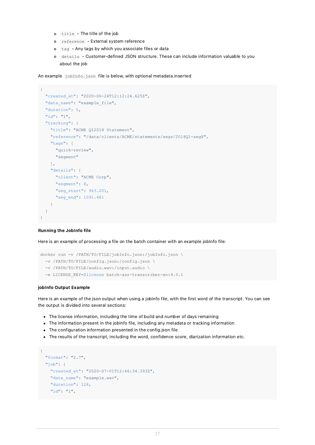- title The title of the job
- reference External system reference
- tag Any tags by which you associate files or data
- details Customer-defined JSON structure. These can include information valuable to you about the job

An example jobInfo.json file is below, with optional metadata inserted

```
{
 "created_at": "2020-06-26T12:12:24.625Z",
  "data name": "example file",
  "duration": 5,
  "id": "1",
  "tracking": {
    "title": "ACME Q12018 Statement",
    "reference": "/data/clients/ACME/statements/segs/2018Q1-seg8",
   "tags": [
     "quick-review",
      "segment"
   ],
    "details": {
     "client": "ACME Corp",
      "segment": 8,
     "seg_start": 963.201,
     "seg_end": 1091.481
    }
  }
}
```
#### Running the JobInfo file

Here is an example of processing a file on the batch container with an example jobInfo file:

```
docker run -v /PATH/TO/FILE/jobInfo.json:/jobInfo.json \
  -v /PATH/TO/FILE/config.json:/config.json \
 -v /PATH/TO/FILE/audio.wav:/input.audio \
  -e LICENSE_KEY=$license batch-asr-transcriber-en:9.0.1
```
#### jobInfo Output Example

Here is an example of the json output when using a jobInfo file, with the first word of the transcript. You can see the output is divided into several sections:

- The license information, including the time of build and number of days remaining
- The information present in the jobInfo file, including any metadata or tracking information
- The configuration information presented in the config.json file
- The results of the transcript, including the word, confidence score, diarization information etc.

```
{
  "format": "2.7",
  "job": {
    "created_at": "2020-07-01T12:46:34.393Z",
   "data name": "example.wav",
   "duration": 128,
    "id": "1",
```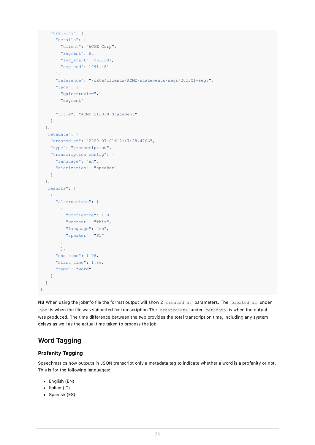```
"tracking": {
      "details": {
       "client": "ACME Corp",
        "segment": 8,
        "seg_start": 963.201,
       "seg_end": 1091.481
      },
      "reference": "/data/clients/ACME/statements/segs/2018Q1-seg8",
      "tags": [
       "quick-review",
       "segment"
      ],
      "title": "ACME Q12018 Statement"
    \overline{1}},
  "metadata": {
    "created_at": "2020-07-01T12:47:28.470Z",
    "type": "transcription",
    "transcription_config": {
     "language": "en",
     "diarization": "speaker"
    }
  },
  "results": [
   {
      "alternatives": [
       \{"confidence": 1.0,
          "content": "This",
          "language": "en",
          "speaker": "S1"
       }
       ],
      "end_time": 1.98,
     "start time": 1.86,
      "type": "word"
    }
  ]
}
```
NB When using the jobInfo file the format output will show 2 created at parameters. The created at under job is when the file was submitted for transcription The createdDate under metadata is when the output was produced. The time difference between the two provides the total transcription time, including any system delays as well as the actual time taken to process the job.

# <span id="page-37-0"></span>Word Tagging

### <span id="page-37-1"></span>Profanity Tagging

Speechmatics now outputs in JSON transcript only a metadata tag to indicate whether a word is a profanity or not. This is for the following languages:

- $\bullet$  English (EN)
- $\bullet$  Italian (IT)
- Spanish (ES)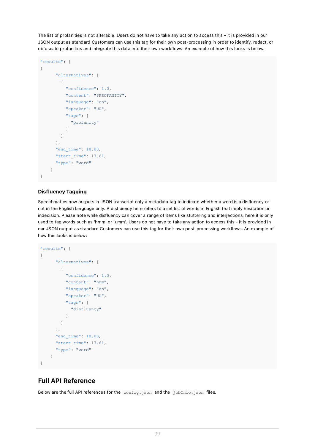The list of profanities is not alterable. Users do not have to take any action to access this - it is provided in our JSON output as standard Customers can use this tag for their own post-processing in order to identify, redact, or obfuscate profanities and integrate this data into their own workflows. An example of how this looks is below.

```
"results": [
{
      "alternatives": [
       {
          "confidence": 1.0,
          "content": "$PROFANITY",
          "language": "en",
          "speaker": "UU",
          "tags": [
            "profanity"
          ]
        }
      ],
      "end time": 18.03,
      "start_time": 17.61,
      "type": "word"
    }
]
```
### <span id="page-38-0"></span>Disfluency Tagging

Speechmatics now outputs in JSON transcript only a metadata tag to indicate whether a word is a disfluency or not in the English language only. A disfluency here refers to a set list of words in English that imply hesitation or indecision. Please note while disfluency can cover a range of items like stuttering and interjections, here it is only used to tag words such as 'hmm' or 'umm'. Users do not have to take any action to access this - it is provided in our JSON output as standard Customers can use this tag for their own post-processing workflows. An example of how this looks is below:

```
"results": [
{
      "alternatives": [
       {
          "confidence": 1.0,
          "content": "hmm",
          "language": "en",
          "speaker": "UU",
          "tags": [
            "disfluency"
          ]
        }
      ],
      "end time": 18.03,
      "start_time": 17.61,
      "type": "word"
    }
]
```
# <span id="page-38-1"></span>Full API Reference

Below are the full API references for the config.json and the jobInfo.json files.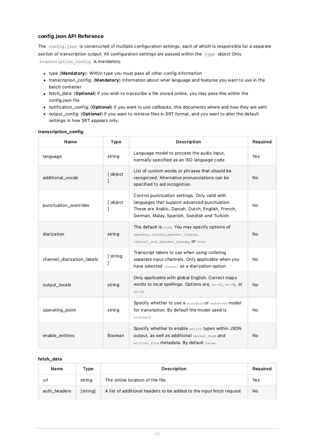### <span id="page-39-0"></span>config.json API Reference

The config.json is constructed of multiple configuration settings, each of which is responsible for a separate section of transcription output. All configuration settings are passed within the type object Only transcription config is mandatory.

- type (Mandatory): Within type you must pass all other config information
- transcription\_config: (Mandatory) Information about what language and features you want to use in the batch container
- fetch\_data: (Optional) If you wish to transcribe a file stored online, you may pass this within the config.json file
- notification\_config: (Optional) If you want to use callbacks, this documents where and how they are sent
- output\_config: (Optional) If you want to retrieve files in SRT format, and you want to alter the default settings in how SRT appears only.

| Name                       | <b>Type</b> | Description                                                                                                                                                                                        | Required  |
|----------------------------|-------------|----------------------------------------------------------------------------------------------------------------------------------------------------------------------------------------------------|-----------|
| language                   | string      | Language model to process the audio input,<br>normally specified as an ISO language code                                                                                                           | Yes       |
| additional_vocab           | [ object    | List of custom words or phrases that should be<br>recognized. Alternative pronunciations can be<br>specified to aid recognition.                                                                   | <b>No</b> |
| punctuation_overrides      | [ object    | Control punctuation settings. Only valid with<br>languages that support advanced punctuation.<br>These are Arabic, Danish, Dutch, English, French,<br>German, Malay, Spanish, Swedish and Turkish. | No        |
| diarization                | string      | The default is none. You may specify options of<br>speaker, channel, speaker change,<br>channel and speaker change, Of none                                                                        | No        |
| channel_diarization_labels | [ string    | Transcript labels to use when using collating<br>separate input channels. Only applicable when you<br>have selected channel as a diarization option                                                | No        |
| output_locale              | string      | Only applicable with global English. Correct maps<br>Words to local spellings. Options are, en-AU, en-GB, or<br>$en$ -US                                                                           | No        |
| operating_point            | string      | Specify whether to use a standard Or enhanced model<br>for transription. By default the model used is<br>standard                                                                                  | No        |
| enable_entities            | Boolean     | Specify whether to enable entity types within JSON<br>output, as well as additional spoken form and<br>written_form metadata. By default false                                                     | <b>No</b> |

### <span id="page-39-1"></span>transcription\_config

#### <span id="page-39-2"></span>fetch\_data

| Name         | Type     | <b>Description</b>                                                  | Required |
|--------------|----------|---------------------------------------------------------------------|----------|
| url          | string   | The online location of the file.                                    | Yes      |
| auth headers | [string] | A list of additional headers to be added to the input fetch request | No.      |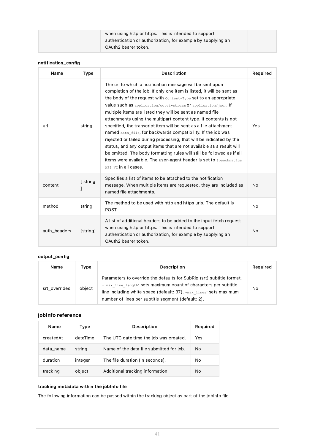| when using http or https. This is intended to support        |  |
|--------------------------------------------------------------|--|
| authentication or authorization, for example by supplying an |  |
| OAuth2 bearer token.                                         |  |

### <span id="page-40-0"></span>notification\_config

| Name         | <b>Type</b> | <b>Description</b>                                                                                                                                                                                                                                                                                                                                                                                                                                                                                                                                                                                                                                                                                                                                                                                                                                                           | Required |
|--------------|-------------|------------------------------------------------------------------------------------------------------------------------------------------------------------------------------------------------------------------------------------------------------------------------------------------------------------------------------------------------------------------------------------------------------------------------------------------------------------------------------------------------------------------------------------------------------------------------------------------------------------------------------------------------------------------------------------------------------------------------------------------------------------------------------------------------------------------------------------------------------------------------------|----------|
| url          | string      | The url to which a notification message will be sent upon<br>completion of the job. If only one item is listed, it will be sent as<br>the body of the request with $\text{content-Type}$ set to an appropriate<br>value such as application/octet-stream Of application/json. If<br>multiple items are listed they will be sent as named file<br>attachments using the multipart content type. If contents is not<br>specified, the transcript item will be sent as a file attachment<br>named data file, for backwards compatibility. If the job was<br>rejected or failed during processing, that will be indicated by the<br>status, and any output items that are not available as a result will<br>be omitted. The body formatting rules will still be followed as if all<br>items were available. The user-agent header is set to speechmatics<br>APT V2 in all cases. | Yes      |
| content      | [ string    | Specifies a list of items to be attached to the notification<br>message. When multiple items are requested, they are included as<br>named file attachments.                                                                                                                                                                                                                                                                                                                                                                                                                                                                                                                                                                                                                                                                                                                  | No       |
| method       | string      | The method to be used with http and https urls. The default is<br>POST.                                                                                                                                                                                                                                                                                                                                                                                                                                                                                                                                                                                                                                                                                                                                                                                                      | No       |
| auth_headers | [string]    | A list of additional headers to be added to the input fetch request<br>when using http or https. This is intended to support<br>authentication or authorization, for example by supplying an<br>OAuth2 bearer token.                                                                                                                                                                                                                                                                                                                                                                                                                                                                                                                                                                                                                                                         |          |

### <span id="page-40-1"></span>output\_config

| Name          | Type   | Description                                                                                                                                                                                                                                                            | Required |
|---------------|--------|------------------------------------------------------------------------------------------------------------------------------------------------------------------------------------------------------------------------------------------------------------------------|----------|
| srt overrides | object | Parameters to override the defaults for SubRip (srt) subtitle format.<br>- max line length: sets maximum count of characters per subtitle<br>line including white space (default: 37). - max lines: sets maximum<br>number of lines per subtitle segment (default: 2). | No       |

### <span id="page-40-2"></span>jobInfo reference

| Name      | Type     | <b>Description</b>                       | Required |
|-----------|----------|------------------------------------------|----------|
| createdAt | dateTime | The UTC date time the job was created.   | Yes      |
| data_name | string   | Name of the data file submitted for job. | No       |
| duration  | integer  | The file duration (in seconds).          | No       |
| tracking  | object   | Additional tracking information          | No       |

### <span id="page-40-3"></span>tracking metadata within the jobInfo file

The following information can be passed within the tracking object as part of the jobInfo file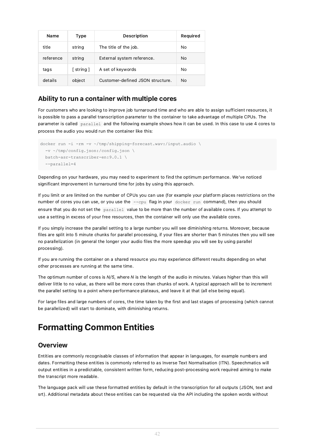| Name      | Type                     | Description                      | Required |
|-----------|--------------------------|----------------------------------|----------|
| title     | string                   | The title of the job.            | No       |
| reference | string                   | External system reference.       | No       |
| tags      | $\lceil$ string $\rceil$ | A set of keywords                | No       |
| details   | object                   | Customer-defined JSON structure. | No.      |

### <span id="page-41-0"></span>Ability to run a container with multiple cores

For customers who are looking to improve job turnaround time and who are able to assign sufficient resources, it is possible to pass a parallel transcription parameter to the container to take advantage of multiple CPUs. The parameter is called parallel and the following example shows how it can be used. In this case to use 4 cores to process the audio you would run the container like this:

```
docker run -i -rm -v ~/tmp/shipping-forecast.wav:/input.audio \
 -v ~/tmp/config.json:/config.json \
  batch-asr-transcriber-en:9.0.1 \
  --parallel=4
```
Depending on your hardware, you may need to experiment to find the optimum performance. We've noticed significant improvement in turnaround time for jobs by using this approach.

If you limit or are limited on the number of CPUs you can use (for example your platform places restrictions on the number of cores you can use, or you use the --cpu flag in your docker run command), then you should ensure that you do not set the parallel value to be more than the number of available cores. If you attempt to use a setting in excess of your free resources, then the container will only use the available cores.

If you simply increase the parallel setting to a large number you will see diminishing returns. Moreover, because files are split into 5 minute chunks for parallel processing, if your files are shorter than 5 minutes then you will see no parallelization (in general the longer your audio files the more speedup you will see by using parallel processing).

If you are running the container on a shared resource you may experience different results depending on what other processes are running at the same time.

The optimum number of cores is  $N/5$ , where N is the length of the audio in minutes. Values higher than this will deliver little to no value, as there will be more cores than chunks of work. A typical approach will be to increment the parallel setting to a point where performance plateaus, and leave it at that (all else being equal).

For large files and large numbers of cores, the time taken by the first and last stages of processing (which cannot be parallelized) will start to dominate, with diminishing returns.

# <span id="page-41-1"></span>Formatting Common Entities

### <span id="page-41-2"></span>**Overview**

Entities are commonly recognisable classes of information that appear in languages, for example numbers and dates. Formatting these entities is commonly referred to as Inverse Text Normalisation (ITN). Speechmatics will output entities in a predictable, consistent written form, reducing post-processing work required aiming to make the transcript more readable.

The language pack will use these formatted entities by default in the transcription for all outputs (JSON, text and srt). Additional metadata about these entities can be requested via the API including the spoken words without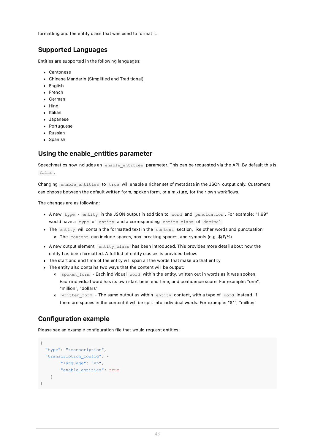formatting and the entity class that was used to format it.

# <span id="page-42-0"></span>Supported Languages

Entities are supported in the following languages:

- Cantonese
- Chinese Mandarin (Simplified and Traditional)
- English
- French
- German
- Hindi
- Italian
- Japanese
- Portuguese
- Russian
- Spanish

# <span id="page-42-1"></span>Using the enable\_entities parameter

Speechmatics now includes an enable entities parameter. This can be requested via the API. By default this is false .

Changing enable entities to true will enable a richer set of metadata in the JSON output only. Customers can choose between the default written form, spoken form, or a mixture, for their own workflows.

The changes are as following:

- A new type entity in the JSON output in addition to word and punctuation . For example: "1.99" would have a type of entity and a corresponding entity class of decimal
- The entity will contain the formatted text in the content section, like other words and punctuation o The content can include spaces, non-breaking spaces, and symbols (e.g.  $\frac{\epsilon}{2}$ /%)
- A new output element, entity\_class has been introduced. This provides more detail about how the entity has been formatted. A full list of entity classes is provided below.
- The start and end time of the entity will span all the words that make up that entity
- The entity also contains two ways that the content will be output:
	- o spoken form Each individual word within the entity, written out in words as it was spoken. Each individual word has its own start time, end time, and confidence score. For example: "one", "million", "dollars"
	- o written form The same output as within entity content, with a type of word instead. If there are spaces in the content it will be split into individual words. For example: "\$1", "million"

# <span id="page-42-2"></span>Configuration example

Please see an example configuration file that would request entities:

```
{
  "type": "transcription",
 "transcription_config": {
       "language": "en",
        "enable_entities": true
    }
}
```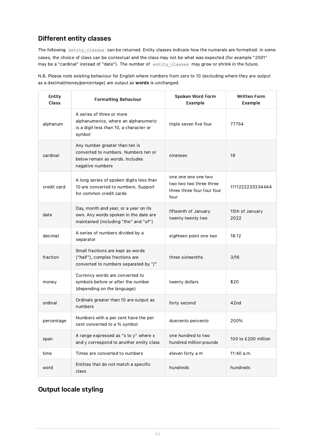# <span id="page-43-0"></span>Different entity classes

The following entity classes can be returned. Entity classes indicate how the numerals are formatted. In some cases, the choice of class can be contextual and the class may not be what was expected (for example "2001" may be a "cardinal" instead of "date"). The number of entity\_classes may grow or shrink in the future.

N.B. Please note existing behaviour for English where numbers from zero to 10 (excluding where they are output as a decimal/money/percentage) are output as words is unchanged.

| Entity<br>Class | <b>Formatting Behaviour</b>                                                                                                   | Spoken Word Form<br>Example                                                          | <b>Written Form</b><br>Example |
|-----------------|-------------------------------------------------------------------------------------------------------------------------------|--------------------------------------------------------------------------------------|--------------------------------|
| alphanum        | A series of three or more<br>alphanumerics, where an alphanumeric<br>is a digit less than 10, a character or<br>symbol        | triple seven five four                                                               | 77754                          |
| cardinal        | Any number greater than ten is<br>converted to numbers. Numbers ten or<br>below remain as words. Includes<br>negative numbers | nineteen                                                                             | 19                             |
| credit card     | A long series of spoken digits less than<br>10 are converted to numbers. Support<br>for common credit cards                   | one one one one two<br>two two two three three<br>three three four four four<br>four | 1111222233334444               |
| date            | Day, month and year, or a year on its<br>own. Any words spoken in the date are<br>maintained (including "the" and "of")       | fifteenth of January<br>twenty twenty two                                            | 15th of January<br>2022        |
| decimal         | A series of numbers divided by a<br>separator                                                                                 | eighteen point one two                                                               | 18.12                          |
| fraction        | Small fractions are kept as words<br>("half"), complex fractions are<br>converted to numbers separated by "/"                 | three sixteenths                                                                     | 3/16                           |
| money           | Currency words are converted to<br>symbols before or after the number<br>(depending on the language)                          | twenty dollars                                                                       | \$20                           |
| ordinal         | Ordinals greater than 10 are output as<br>numbers                                                                             | forty second                                                                         | 42nd                           |
| percentage      | Numbers with a per cent have the per<br>cent converted to a % symbol                                                          | duecento percento                                                                    | 200%                           |
| span            | A range expressed as "x to y" where x<br>and y correspond to another entity class                                             | one hundred to two<br>hundred million pounds                                         | 100 to £200 million            |
| time            | Times are converted to numbers                                                                                                | eleven forty a m                                                                     | 11:40 a.m.                     |
| word            | Entities that do not match a specific<br>class                                                                                | hundreds                                                                             | hundreds                       |

# <span id="page-43-1"></span>Output locale styling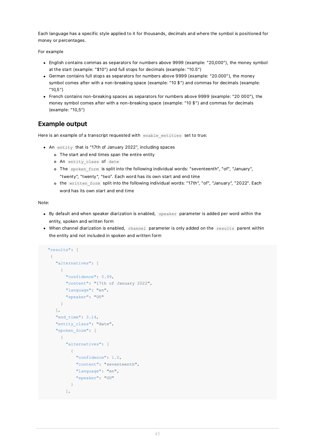Each language has a specific style applied to it for thousands, decimals and where the symbol is positioned for money or percentages.

For example

- English contains commas as separators for numbers above 9999 (example: "20,000"), the money symbol at the start (example: "\$10") and full stops for decimals (example: "10.5")
- German contains full stops as separators for numbers above 9999 (example: "20.000"), the money symbol comes after with a non-breaking space (example: "10 \$") and commas for decimals (example: "10,5")
- French contains non-breaking spaces as separators for numbers above 9999 (example: "20 000"), the money symbol comes after with a non-breaking space (example: "10 \$") and commas for decimals (example: "10,5")

# <span id="page-44-0"></span>Example output

Here is an example of a transcript requested with enable entities set to true:

- An entity that is "17th of January 2022", including spaces
	- The start and end times span the entire entity
	- o An entity class of date
	- o The spoken form is split into the following individual words: "seventeenth", "of", "January", "twenty", "twenty", "two". Each word has its own start and end time
	- o the written form split into the following individual words: "17th", "of", "January", "2022". Each word has its own start and end time

Note:

- By default and when speaker diarization is enabled, speaker parameter is added per word within the entity, spoken and written form
- When channel diarization is enabled, channel parameter is only added on the results parent within the entity and not included in spoken and written form

```
"results": [
 {
   "alternatives": [
    \left\{ \right."confidence": 0.99,
       "content": "17th of January 2022",
       "language": "en",
       "speaker": "UU"
     }
   ],
   "end time": 3.14,
   "entity_class": "date",
   "spoken_form": [
     {
       "alternatives": [
         {
           "confidence": 1.0,
           "content": "seventeenth",
           "language": "en",
           "speaker": "UU"
         }
       ],
```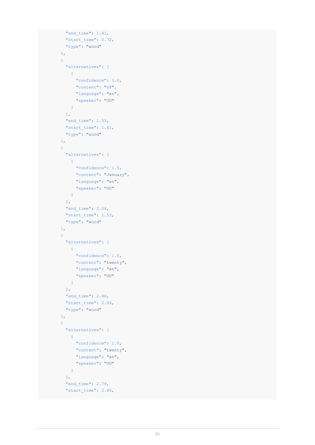```
"end time": 1.41,
  "start time": 0.72,
  "type": "word"
},
{
  "alternatives": [
   \left\{ \begin{array}{c} \end{array} \right."confidence": 1.0,
      "content": "of",
     "language": "en",
     "speaker": "UU"
    }
  ],
  "end_time": 1.53,
  "start_time": 1.41,
  "type": "word"
},
{
  "alternatives": [
   \left\{\begin{array}{c}1\end{array}\right\}"confidence": 1.0,
     "content": "January",
      "language": "en",
      "speaker": "UU"
    }
  ],
  "end time": 2.04,
  "start_time": 1.53,
  "type": "word"
},
{
  "alternatives": [
   \left\{ \begin{array}{c} \end{array} \right."confidence": 1.0,
     "content": "twenty",
      "language": "en",
      "speaker": "UU"
    }
  ],
  "end_time": 2.46,
  "start_time": 2.04,
  "type": "word"
},
{
  "alternatives": [
   \left\{ \begin{array}{c} \end{array} \right."confidence": 1.0,
     "content": "twenty",
      "language": "en",
       "speaker": "UU"
    }
  ],
  "end time": 2.79,
  "start time": 2.46,
```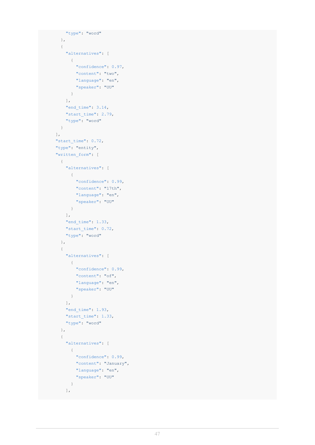```
"type": "word"
  },
  {
    "alternatives": [
     \qquad \qquad \{"confidence": 0.97,
        "content": "two",
         "language": "en",
        "speaker": "UU"
      }
    ],
    "end time": 3.14,
    "start_time": 2.79,
    "type": "word"
  }
],
"start_time": 0.72,
"type": "entity",
"written_form": [
 \left\{ \begin{array}{c} \end{array} \right."alternatives": [
      \{"confidence": 0.99,
         "content": "17th",
        "language": "en",
       "speaker": "UU"
     }
    ],
    "end time": 1.33,
    "start time": 0.72,
    "type": "word"
  },
  {
    "alternatives": [
     \left\{ \begin{array}{c} \end{array} \right."confidence": 0.99,
        "content": "of",
        "language": "en",
        "speaker": "UU"
      }
    ],
    "end time": 1.93,
    "start time": 1.33,
    "type": "word"
  },
  {
     "alternatives": [
     \left\{\begin{array}{c} \end{array}\right."confidence": 0.99,
        "content": "January",
        "language": "en",
         "speaker": "UU"
      }
    ],
```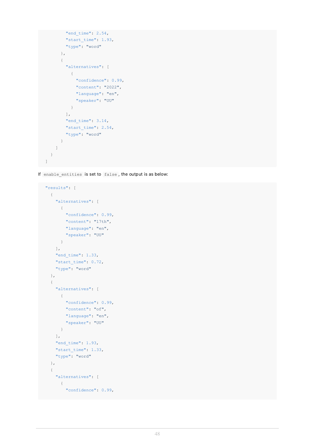```
"end time": 2.54,
         "start_time": 1.93,
         "type": "word"
       },
       {
         "alternatives": [
          \left\{\begin{array}{c} \end{array}\right\}"confidence": 0.99,
             "content": "2022",
             "language": "en",
            "speaker": "UU"
           }
         ],
         "end_time": 3.14,
         "start_time": 2.54,
         "type": "word"
       }
    ]
 }
]
```
If enable entities is set to false, the output is as below:

```
"results": [
\left\{\right."alternatives": [
     \left\{\begin{array}{c}1\end{array}\right."confidence": 0.99,
       "content": "17th",
        "language": "en",
         "speaker": "UU"
     }
    ],
    "end time": 1.33,
    "start_time": 0.72,
    "type": "word"
  },
  {
    "alternatives": [
     \left\{\begin{array}{c} \end{array}\right."confidence": 0.99,
         "content": "of",
        "language": "en",
         "speaker": "UU"
     }
    ],
    "end_time": 1.93,
    "start_time": 1.33,
    "type": "word"
  },
  {
    "alternatives": [
     {
        "confidence": 0.99,
```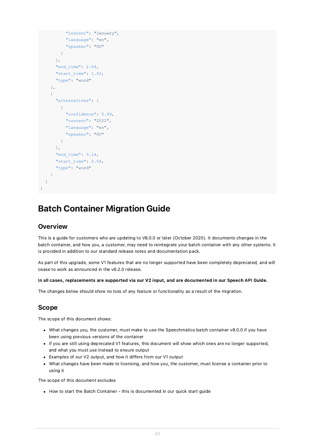```
"content": "January",
          "language": "en",
          "speaker": "UU"
       }
     ],
     "end time": 2.54,
     "start_time": 1.93,
      "type": "word"
    },
    {
      "alternatives": [
       {
         "confidence": 0.99,
         "content": "2022",
          "language": "en",
          "speaker": "UU"
       }
     ],
      "end time": 3.14,
     "start_time": 2.54,
     "type": "word"
   }
 ]
}
```
# <span id="page-48-0"></span>Batch Container Migration Guide

### <span id="page-48-1"></span>**Overview**

This is a guide for customers who are updating to V8.0.0 or later (October 2020). It documents changes in the batch container, and how you, a customer, may need to reintegrate your batch container with any other systems. It is provided in addition to our standard release notes and documentation pack.

As part of this upgrade, some V1 features that are no longer supported have been completely deprecated, and will cease to work as announced in the v6.2.0 release.

### In all cases, replacements are supported via our V2 input, and are documented in our Speech API Guide.

The changes below should show no loss of any feature or functionality as a result of the migration.

### <span id="page-48-2"></span>Scope

The scope of this document shows:

- What changes you, the customer, must make to use the Speechmatics batch container v8.0.0 if you have been using previous versions of the container
- If you are still using deprecated V1 features, this document will show which ones are no longer supported, and what you must use instead to ensure output
- Examples of our V2 output, and how it differs from our V1 output
- What changes have been made to licensing, and how you, the customer, must license a container prior to using it

The scope of this document excludes

How to start the Batch Container - this is documented in our quick start guide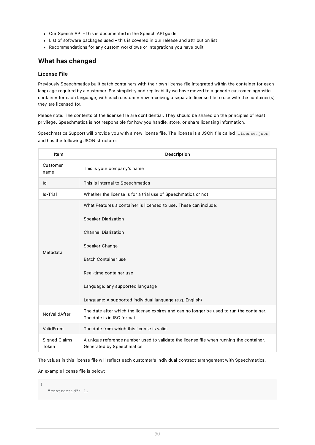- Our Speech API this is documented in the Speech API guide
- List of software packages used this is covered in our release and attribution list
- Recommendations for any custom workflows or integrations you have built

# <span id="page-49-0"></span>What has changed

### <span id="page-49-1"></span>License File

Previously Speechmatics built batch containers with their own license file integrated within the container for each language required by a customer. For simplicity and replicability we have moved to a generic customer-agnostic container for each language, with each customer now receiving a separate license file to use with the container(s) they are licensed for.

Please note: The contents of the license file are confidential. They should be shared on the principles of least privilege. Speechmatics is not responsible for how you handle, store, or share licensing information.

Speechmatics Support will provide you with a new license file. The license is a JSON file called license. json and has the following JSON structure:

| Item                          | <b>Description</b>                                                                                                                                                                                                                                                                                      |  |  |
|-------------------------------|---------------------------------------------------------------------------------------------------------------------------------------------------------------------------------------------------------------------------------------------------------------------------------------------------------|--|--|
| Customer<br>name              | This is your company's name                                                                                                                                                                                                                                                                             |  |  |
| Id                            | This is internal to Speechmatics                                                                                                                                                                                                                                                                        |  |  |
| Is-Trial                      | Whether the license is for a trial use of Speechmatics or not                                                                                                                                                                                                                                           |  |  |
| Metadata                      | What Features a container is licensed to use. These can include:<br><b>Speaker Diarization</b><br><b>Channel Diarization</b><br>Speaker Change<br><b>Batch Container use</b><br>Real-time container use<br>Language: any supported language<br>Language: A supported individual language (e.g. English) |  |  |
| NotValidAfter                 | The date after which the license expires and can no longer be used to run the container.<br>The date is in ISO format                                                                                                                                                                                   |  |  |
| ValidFrom                     | The date from which this license is valid.                                                                                                                                                                                                                                                              |  |  |
| <b>Signed Claims</b><br>Token | A unique reference number used to validate the license file when running the container.<br>Generated by Speechmatics                                                                                                                                                                                    |  |  |

The values in this license file will reflect each customer's individual contract arrangement with Speechmatics.

An example license file is below:

```
{
   "contractid": 1,
```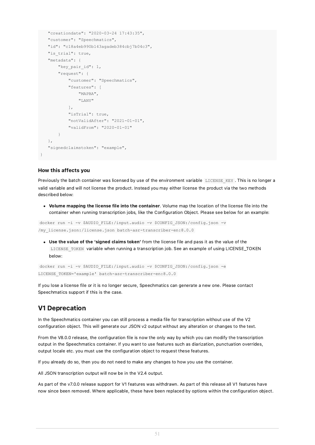```
"creationdate": "2020-03-24 17:43:35",
"customer": "Speechmatics",
"id": "c18a4eb990b143agadeb384cbj7b04c3",
"is trial": true,
"metadata": {
    "key pair id": 1,
    "request": {
        "customer": "Speechmatics",
        "features": [
            "MAPBA",
            "LANY"
        ],
        "isTrial": true,
        "notValidAfter": "2021-01-01",
        "validFrom": "2020-01-01"
    }
},
"signedclaimstoken": "example",
```
### <span id="page-50-0"></span>How this affects you

}

Previously the batch container was licensed by use of the environment variable LICENSE KEY. This is no longer a valid variable and will not license the product. Instead you may either license the product via the two methods described below:

Volume mapping the license file into the container. Volume map the location of the license file into the container when running transcription jobs, like the Configuration Object. Please see below for an example:

docker run -i -v \$AUDIO\_FILE:/input.audio -v \$CONFIG\_JSON:/config.json -v /my\_license.json:/license.json batch-asr-transcriber-en:8.0.0

Use the value of the 'signed claims token' from the license file and pass it as the value of the LICENSE\_TOKEN variable when running a transcription job. See an example of using LICENSE\_TOKEN below:

docker run -i -v \$AUDIO\_FILE:/input.audio -v \$CONFIG\_JSON:/config.json -e LICENSE\_TOKEN='example' batch-asr-transcriber-en:8.0.0

If you lose a license file or it is no longer secure, Speechmatics can generate a new one. Please contact Speechmatics support if this is the case.

# <span id="page-50-1"></span>V1 Deprecation

In the Speechmatics container you can still process a media file for transcription without use of the V2 configuration object. This will generate our JSON v2 output without any alteration or changes to the text.

From the V8.0.0 release, the configuration file is now the only way by which you can modify the transcription output in the Speechmatics container. If you want to use features such as diarization, punctuation overrides, output locale etc. you must use the configuration object to request these features.

If you already do so, then you do not need to make any changes to how you use the container.

All JSON transcription output will now be in the V2.4 output.

As part of the v7.0.0 release support for V1 features was withdrawn. As part of this release all V1 features have now since been removed. Where applicable, these have been replaced by options within the configuration object.